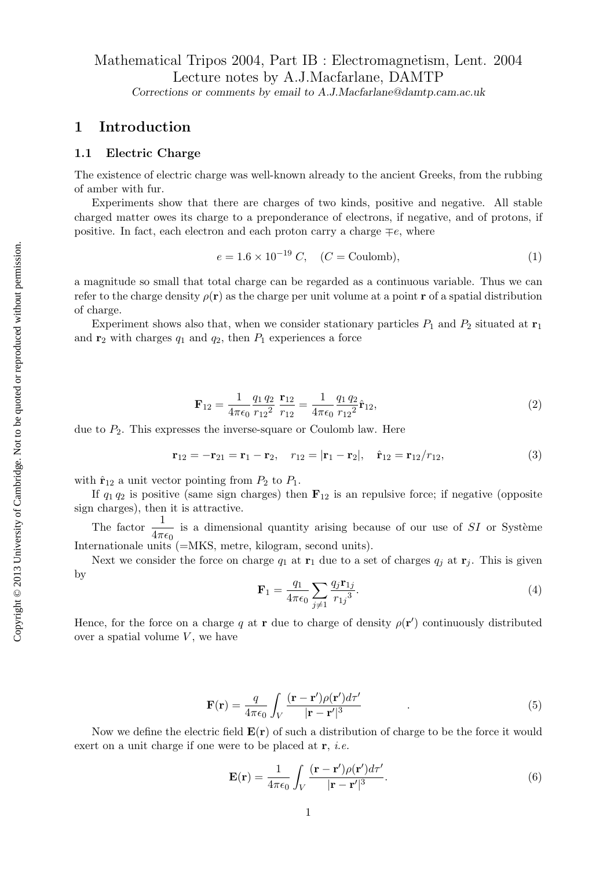# Mathematical Tripos 2004, Part IB : Electromagnetism, Lent. 2004 Lecture notes by A.J.Macfarlane, DAMTP Corrections or comments by email to A.J.Macfarlane@damtp.cam.ac.uk

# 1 Introduction

## 1.1 Electric Charge

The existence of electric charge was well-known already to the ancient Greeks, from the rubbing of amber with fur.

Experiments show that there are charges of two kinds, positive and negative. All stable charged matter owes its charge to a preponderance of electrons, if negative, and of protons, if positive. In fact, each electron and each proton carry a charge  $\mp e$ , where

$$
e = 1.6 \times 10^{-19} C, \quad (C = \text{Coulomb}), \tag{1}
$$

a magnitude so small that total charge can be regarded as a continuous variable. Thus we can refer to the charge density  $\rho(\mathbf{r})$  as the charge per unit volume at a point r of a spatial distribution of charge.

Experiment shows also that, when we consider stationary particles  $P_1$  and  $P_2$  situated at  $\mathbf{r}_1$ and  $r_2$  with charges  $q_1$  and  $q_2$ , then  $P_1$  experiences a force

$$
\mathbf{F}_{12} = \frac{1}{4\pi\epsilon_0} \frac{q_1 q_2}{r_{12}^2} \frac{\mathbf{r}_{12}}{r_{12}} = \frac{1}{4\pi\epsilon_0} \frac{q_1 q_2}{r_{12}^2} \hat{\mathbf{r}}_{12},\tag{2}
$$

due to  $P_2$ . This expresses the inverse-square or Coulomb law. Here

$$
\mathbf{r}_{12} = -\mathbf{r}_{21} = \mathbf{r}_1 - \mathbf{r}_2, \quad r_{12} = |\mathbf{r}_1 - \mathbf{r}_2|, \quad \hat{\mathbf{r}}_{12} = \mathbf{r}_{12}/r_{12}, \tag{3}
$$

with  $\hat{\mathbf{r}}_{12}$  a unit vector pointing from  $P_2$  to  $P_1$ .

If  $q_1 q_2$  is positive (same sign charges) then  $\mathbf{F}_{12}$  is an repulsive force; if negative (opposite sign charges), then it is attractive.

The factor  $\frac{1}{4\pi\epsilon_0}$  is a dimensional quantity arising because of our use of SI or Système Internationale units (=MKS, metre, kilogram, second units).

Next we consider the force on charge  $q_1$  at  $r_1$  due to a set of charges  $q_i$  at  $r_i$ . This is given by

$$
\mathbf{F}_1 = \frac{q_1}{4\pi\epsilon_0} \sum_{j\neq 1} \frac{q_j \mathbf{r}_{1j}}{r_{1j}^3}.
$$
 (4)

Hence, for the force on a charge q at r due to charge of density  $\rho(\mathbf{r}')$  continuously distributed over a spatial volume  $V$ , we have

$$
\mathbf{F}(\mathbf{r}) = \frac{q}{4\pi\epsilon_0} \int_V \frac{(\mathbf{r} - \mathbf{r}')\rho(\mathbf{r}')d\tau'}{|\mathbf{r} - \mathbf{r}'|^3}
$$
(5)

Now we define the electric field  $E(r)$  of such a distribution of charge to be the force it would exert on a unit charge if one were to be placed at  $r$ , *i.e.* 

$$
\mathbf{E}(\mathbf{r}) = \frac{1}{4\pi\epsilon_0} \int_V \frac{(\mathbf{r} - \mathbf{r}')\rho(\mathbf{r}')d\tau'}{|\mathbf{r} - \mathbf{r}'|^3}.
$$
 (6)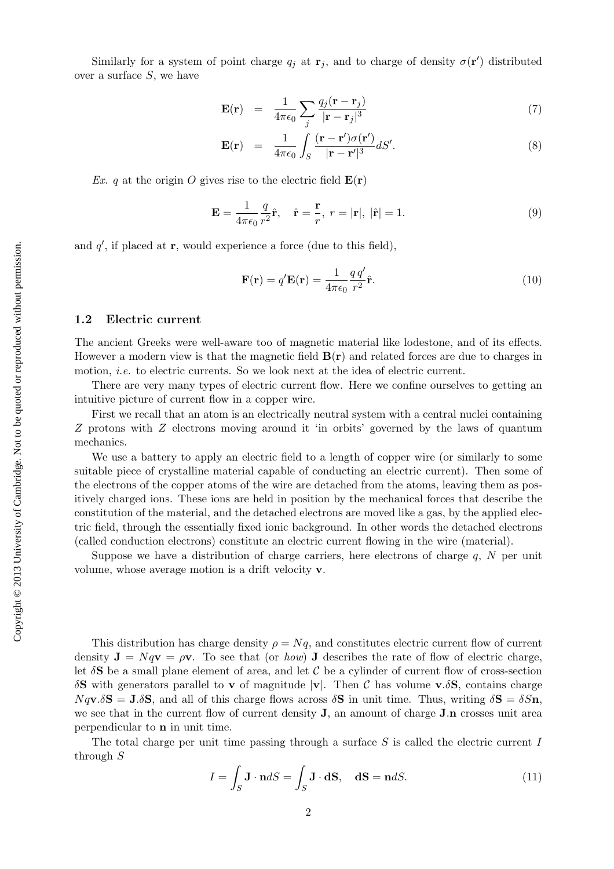Similarly for a system of point charge  $q_j$  at  $\mathbf{r}_j$ , and to charge of density  $\sigma(\mathbf{r}')$  distributed over a surface S, we have

$$
\mathbf{E}(\mathbf{r}) = \frac{1}{4\pi\epsilon_0} \sum_{j} \frac{q_j(\mathbf{r} - \mathbf{r}_j)}{|\mathbf{r} - \mathbf{r}_j|^3}
$$
(7)

$$
\mathbf{E}(\mathbf{r}) = \frac{1}{4\pi\epsilon_0} \int_S \frac{(\mathbf{r} - \mathbf{r}')\sigma(\mathbf{r}')}{|\mathbf{r} - \mathbf{r}'|^3} dS'.
$$
 (8)

Ex. q at the origin O gives rise to the electric field  $E(r)$ 

$$
\mathbf{E} = \frac{1}{4\pi\epsilon_0} \frac{q}{r^2} \hat{\mathbf{r}}, \quad \hat{\mathbf{r}} = \frac{\mathbf{r}}{r}, \ r = |\mathbf{r}|, \ |\hat{\mathbf{r}}| = 1.
$$
 (9)

and  $q'$ , if placed at  $\mathbf{r}$ , would experience a force (due to this field),

$$
\mathbf{F}(\mathbf{r}) = q'\mathbf{E}(\mathbf{r}) = \frac{1}{4\pi\epsilon_0} \frac{q \, q'}{r^2} \hat{\mathbf{r}}.\tag{10}
$$

#### 1.2 Electric current

The ancient Greeks were well-aware too of magnetic material like lodestone, and of its effects. However a modern view is that the magnetic field  $B(r)$  and related forces are due to charges in motion, *i.e.* to electric currents. So we look next at the idea of electric current.

There are very many types of electric current flow. Here we confine ourselves to getting an intuitive picture of current flow in a copper wire.

First we recall that an atom is an electrically neutral system with a central nuclei containing Z protons with Z electrons moving around it 'in orbits' governed by the laws of quantum mechanics.

We use a battery to apply an electric field to a length of copper wire (or similarly to some suitable piece of crystalline material capable of conducting an electric current). Then some of the electrons of the copper atoms of the wire are detached from the atoms, leaving them as positively charged ions. These ions are held in position by the mechanical forces that describe the constitution of the material, and the detached electrons are moved like a gas, by the applied electric field, through the essentially fixed ionic background. In other words the detached electrons (called conduction electrons) constitute an electric current flowing in the wire (material).

Suppose we have a distribution of charge carriers, here electrons of charge  $q$ ,  $N$  per unit volume, whose average motion is a drift velocity v.

This distribution has charge density  $\rho = Nq$ , and constitutes electric current flow of current density  $J = Nqv = \rho v$ . To see that (or *how*) J describes the rate of flow of electric charge, let  $\delta S$  be a small plane element of area, and let C be a cylinder of current flow of cross-section δS with generators parallel to **v** of magnitude  $|{\bf v}|$ . Then C has volume **v**.δS, contains charge  $Nq\n**v**.\delta$ **S** = **J**.δ**S**, and all of this charge flows across  $\delta$ **S** in unit time. Thus, writing  $\delta$ **S** =  $\delta$ *S***n**, we see that in the current flow of current density **J**, an amount of charge **J**.n crosses unit area perpendicular to n in unit time.

The total charge per unit time passing through a surface  $S$  is called the electric current  $I$ through S

$$
I = \int_{S} \mathbf{J} \cdot \mathbf{n} dS = \int_{S} \mathbf{J} \cdot \mathbf{dS}, \quad \mathbf{dS} = \mathbf{n} dS.
$$
 (11)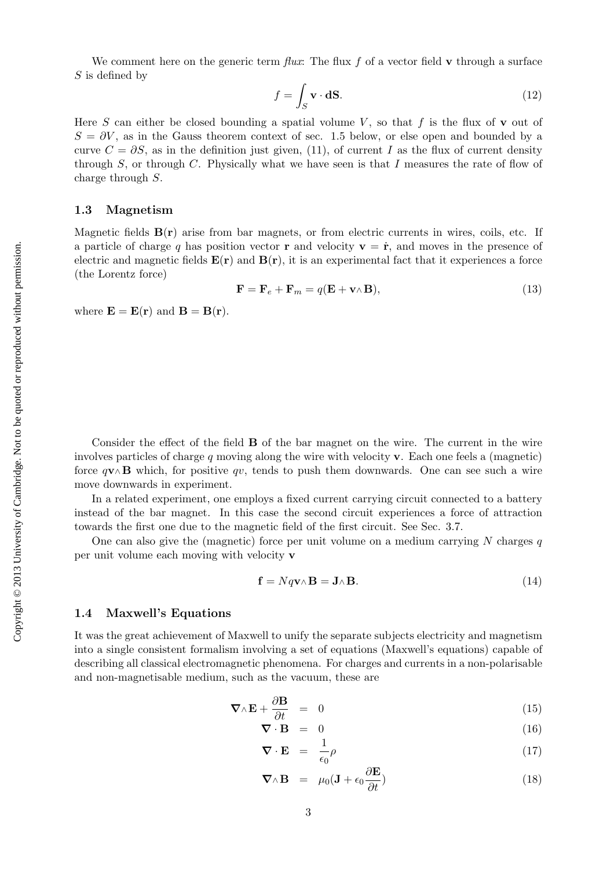We comment here on the generic term  $flux$ . The flux f of a vector field v through a surface  $S$  is defined by

$$
f = \int_{S} \mathbf{v} \cdot \mathbf{d} \mathbf{S}.\tag{12}
$$

Here S can either be closed bounding a spatial volume V, so that f is the flux of  $\bf{v}$  out of  $S = \partial V$ , as in the Gauss theorem context of sec. 1.5 below, or else open and bounded by a curve  $C = \partial S$ , as in the definition just given, (11), of current I as the flux of current density through S, or through C. Physically what we have seen is that I measures the rate of flow of charge through S.

#### 1.3 Magnetism

Magnetic fields  $B(r)$  arise from bar magnets, or from electric currents in wires, coils, etc. If a particle of charge q has position vector **r** and velocity  $\mathbf{v} = \dot{\mathbf{r}}$ , and moves in the presence of electric and magnetic fields  $E(r)$  and  $B(r)$ , it is an experimental fact that it experiences a force (the Lorentz force)

$$
\mathbf{F} = \mathbf{F}_e + \mathbf{F}_m = q(\mathbf{E} + \mathbf{v} \wedge \mathbf{B}),\tag{13}
$$

where  $\mathbf{E} = \mathbf{E}(\mathbf{r})$  and  $\mathbf{B} = \mathbf{B}(\mathbf{r})$ .

Consider the effect of the field **B** of the bar magnet on the wire. The current in the wire involves particles of charge  $q$  moving along the wire with velocity  $\bf{v}$ . Each one feels a (magnetic) force  $q\mathbf{v}\wedge\mathbf{B}$  which, for positive qv, tends to push them downwards. One can see such a wire move downwards in experiment.

In a related experiment, one employs a fixed current carrying circuit connected to a battery instead of the bar magnet. In this case the second circuit experiences a force of attraction towards the first one due to the magnetic field of the first circuit. See Sec. 3.7.

One can also give the (magnetic) force per unit volume on a medium carrying N charges  $q$ per unit volume each moving with velocity v

$$
\mathbf{f} = Nq\mathbf{v}\wedge\mathbf{B} = \mathbf{J}\wedge\mathbf{B}.\tag{14}
$$

#### 1.4 Maxwell's Equations

It was the great achievement of Maxwell to unify the separate subjects electricity and magnetism into a single consistent formalism involving a set of equations (Maxwell's equations) capable of describing all classical electromagnetic phenomena. For charges and currents in a non-polarisable and non-magnetisable medium, such as the vacuum, these are

$$
\nabla \wedge \mathbf{E} + \frac{\partial \mathbf{B}}{\partial t} = 0 \tag{15}
$$

$$
\nabla \cdot \mathbf{B} = 0 \tag{16}
$$

$$
\nabla \cdot \mathbf{E} = \frac{1}{\epsilon_0} \rho \tag{17}
$$

$$
\nabla \wedge \mathbf{B} = \mu_0 (\mathbf{J} + \epsilon_0 \frac{\partial \mathbf{E}}{\partial t})
$$
 (18)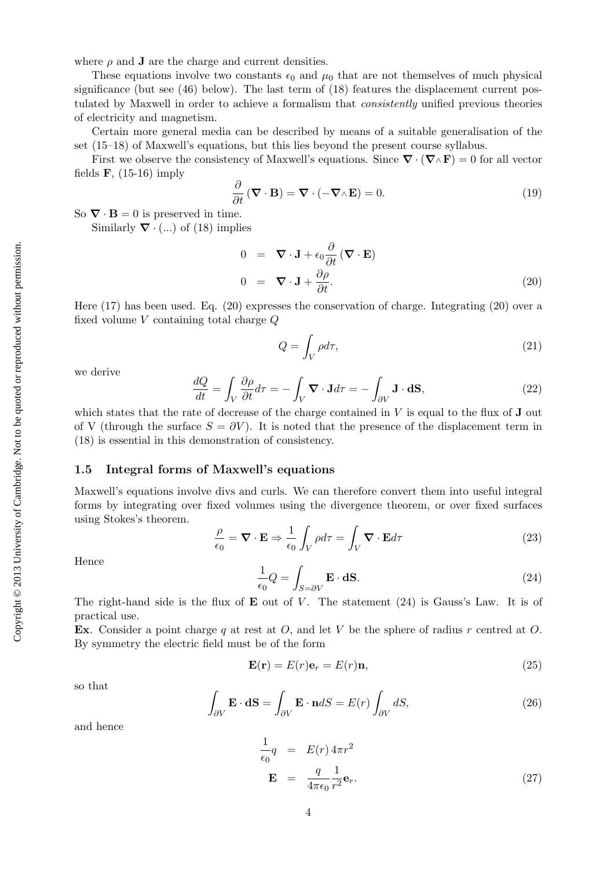where  $\rho$  and **J** are the charge and current densities.

These equations involve two constants  $\epsilon_0$  and  $\mu_0$  that are not themselves of much physical significance (but see  $(46)$  below). The last term of  $(18)$  features the displacement current postulated by Maxwell in order to achieve a formalism that consistently unified previous theories of electricity and magnetism.

Certain more general media can be described by means of a suitable generalisation of the set (15–18) of Maxwell's equations, but this lies beyond the present course syllabus.

First we observe the consistency of Maxwell's equations. Since  $\nabla \cdot (\nabla \wedge \mathbf{F}) = 0$  for all vector fields  $\mathbf{F}$ , (15-16) imply

$$
\frac{\partial}{\partial t} (\mathbf{\nabla} \cdot \mathbf{B}) = \mathbf{\nabla} \cdot (-\mathbf{\nabla} \wedge \mathbf{E}) = 0.
$$
 (19)

So  $\nabla \cdot \mathbf{B} = 0$  is preserved in time.

Similarly  $\nabla \cdot (...)$  of (18) implies

$$
0 = \nabla \cdot \mathbf{J} + \epsilon_0 \frac{\partial}{\partial t} (\nabla \cdot \mathbf{E})
$$
  
\n
$$
0 = \nabla \cdot \mathbf{J} + \frac{\partial \rho}{\partial t}.
$$
 (20)

Here (17) has been used. Eq. (20) expresses the conservation of charge. Integrating (20) over a fixed volume V containing total charge Q

$$
Q = \int_{V} \rho d\tau,\tag{21}
$$

we derive

$$
\frac{dQ}{dt} = \int_{V} \frac{\partial \rho}{\partial t} d\tau = -\int_{V} \mathbf{\nabla} \cdot \mathbf{J} d\tau = -\int_{\partial V} \mathbf{J} \cdot \mathbf{dS},\tag{22}
$$

which states that the rate of decrease of the charge contained in  $V$  is equal to the flux of  $J$  out of V (through the surface  $S = \partial V$ ). It is noted that the presence of the displacement term in (18) is essential in this demonstration of consistency.

#### 1.5 Integral forms of Maxwell's equations

Maxwell's equations involve divs and curls. We can therefore convert them into useful integral forms by integrating over fixed volumes using the divergence theorem, or over fixed surfaces using Stokes's theorem.

$$
\frac{\rho}{\epsilon_0} = \mathbf{\nabla} \cdot \mathbf{E} \Rightarrow \frac{1}{\epsilon_0} \int_V \rho d\tau = \int_V \mathbf{\nabla} \cdot \mathbf{E} d\tau
$$
\n(23)

Hence

$$
\frac{1}{\epsilon_0} Q = \int_{S = \partial V} \mathbf{E} \cdot \mathbf{d} \mathbf{S}.
$$
 (24)

The right-hand side is the flux of  $E$  out of  $V$ . The statement (24) is Gauss's Law. It is of practical use.

Ex. Consider a point charge q at rest at O, and let V be the sphere of radius r centred at O. By symmetry the electric field must be of the form

$$
\mathbf{E}(\mathbf{r}) = E(r)\mathbf{e}_r = E(r)\mathbf{n},\tag{25}
$$

so that

$$
\int_{\partial V} \mathbf{E} \cdot \mathbf{dS} = \int_{\partial V} \mathbf{E} \cdot \mathbf{n} dS = E(r) \int_{\partial V} dS,
$$
\n(26)

and hence

$$
\frac{1}{\epsilon_0}q = E(r) 4\pi r^2
$$
  

$$
\mathbf{E} = \frac{q}{4\pi\epsilon_0} \frac{1}{r^2} \mathbf{e}_r.
$$
 (27)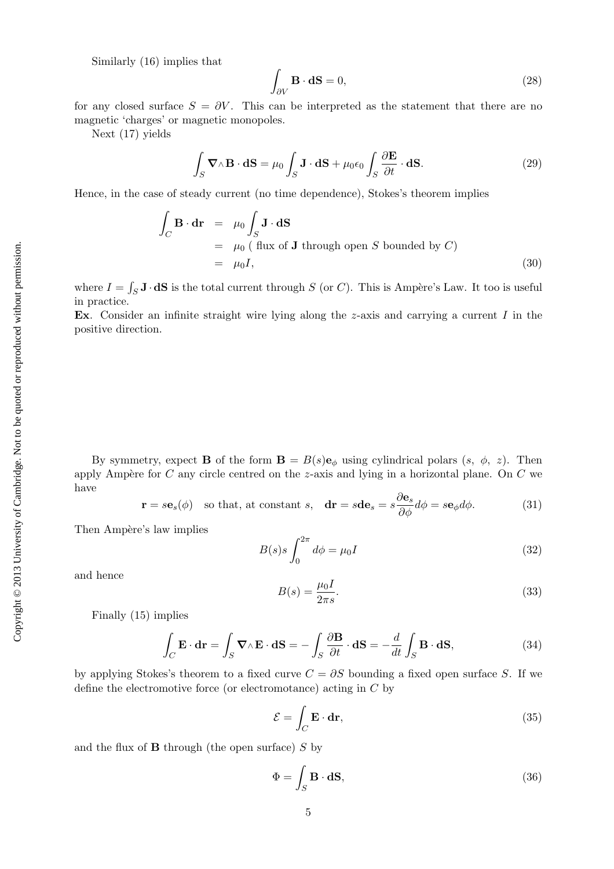Similarly (16) implies that

$$
\int_{\partial V} \mathbf{B} \cdot \mathbf{dS} = 0,\tag{28}
$$

for any closed surface  $S = \partial V$ . This can be interpreted as the statement that there are no magnetic 'charges' or magnetic monopoles.

Next (17) yields

$$
\int_{S} \mathbf{\nabla} \wedge \mathbf{B} \cdot \mathbf{dS} = \mu_0 \int_{S} \mathbf{J} \cdot \mathbf{dS} + \mu_0 \epsilon_0 \int_{S} \frac{\partial \mathbf{E}}{\partial t} \cdot \mathbf{dS}.
$$
\n(29)

Hence, in the case of steady current (no time dependence), Stokes's theorem implies

$$
\int_C \mathbf{B} \cdot \mathbf{dr} = \mu_0 \int_S \mathbf{J} \cdot \mathbf{dS}
$$
\n
$$
= \mu_0 \text{ (flux of } \mathbf{J} \text{ through open } S \text{ bounded by } C)
$$
\n
$$
= \mu_0 I,
$$
\n(30)

where  $I = \int_S \mathbf{J} \cdot \mathbf{dS}$  is the total current through S (or C). This is Ampère's Law. It too is useful in practice.

Ex. Consider an infinite straight wire lying along the  $z$ -axis and carrying a current  $I$  in the positive direction.

By symmetry, expect **B** of the form  $\mathbf{B} = B(s)\mathbf{e}_{\phi}$  using cylindrical polars  $(s, \phi, z)$ . Then apply Ampère for  $C$  any circle centred on the z-axis and lying in a horizontal plane. On  $C$  we have

$$
\mathbf{r} = s\mathbf{e}_s(\phi)
$$
 so that, at constant *s*,  $\mathbf{dr} = s\mathbf{d}\mathbf{e}_s = s\frac{\partial \mathbf{e}_s}{\partial \phi}d\phi = s\mathbf{e}_{\phi}d\phi.$  (31)

Then Ampère's law implies

$$
B(s)s \int_0^{2\pi} d\phi = \mu_0 I \tag{32}
$$

and hence

$$
B(s) = \frac{\mu_0 I}{2\pi s}.\tag{33}
$$

Finally (15) implies

$$
\int_C \mathbf{E} \cdot d\mathbf{r} = \int_S \mathbf{\nabla} \wedge \mathbf{E} \cdot d\mathbf{S} = -\int_S \frac{\partial \mathbf{B}}{\partial t} \cdot d\mathbf{S} = -\frac{d}{dt} \int_S \mathbf{B} \cdot d\mathbf{S},
$$
\n(34)

by applying Stokes's theorem to a fixed curve  $C = \partial S$  bounding a fixed open surface S. If we define the electromotive force (or electromotance) acting in C by

$$
\mathcal{E} = \int_C \mathbf{E} \cdot \mathbf{dr},\tag{35}
$$

and the flux of  $\bf{B}$  through (the open surface)  $S$  by

$$
\Phi = \int_{S} \mathbf{B} \cdot \mathbf{dS},\tag{36}
$$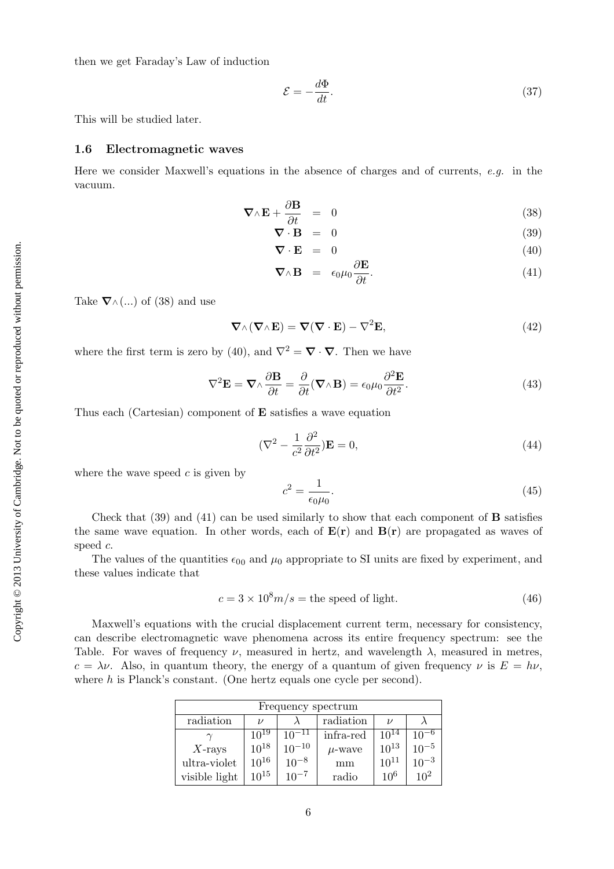then we get Faraday's Law of induction

$$
\mathcal{E} = -\frac{d\Phi}{dt}.\tag{37}
$$

This will be studied later.

#### 1.6 Electromagnetic waves

Here we consider Maxwell's equations in the absence of charges and of currents,  $e.g.$  in the vacuum.

$$
\nabla \wedge \mathbf{E} + \frac{\partial \mathbf{B}}{\partial t} = 0 \tag{38}
$$

$$
\nabla \cdot \mathbf{B} = 0 \tag{39}
$$

$$
\nabla \cdot \mathbf{E} = 0 \tag{40}
$$

$$
\nabla \wedge \mathbf{B} = \epsilon_0 \mu_0 \frac{\partial \mathbf{E}}{\partial t}.
$$
 (41)

Take  $\mathbf{\nabla}\wedge(\ldots)$  of (38) and use

$$
\nabla \wedge (\nabla \wedge \mathbf{E}) = \nabla (\nabla \cdot \mathbf{E}) - \nabla^2 \mathbf{E},
$$
\n(42)

where the first term is zero by (40), and  $\nabla^2 = \nabla \cdot \nabla$ . Then we have

$$
\nabla^2 \mathbf{E} = \mathbf{\nabla} \wedge \frac{\partial \mathbf{B}}{\partial t} = \frac{\partial}{\partial t} (\mathbf{\nabla} \wedge \mathbf{B}) = \epsilon_0 \mu_0 \frac{\partial^2 \mathbf{E}}{\partial t^2}.
$$
 (43)

Thus each (Cartesian) component of E satisfies a wave equation

$$
(\nabla^2 - \frac{1}{c^2} \frac{\partial^2}{\partial t^2}) \mathbf{E} = 0,
$$
\n(44)

where the wave speed  $c$  is given by

$$
c^2 = \frac{1}{\epsilon_0 \mu_0}.\tag{45}
$$

Check that  $(39)$  and  $(41)$  can be used similarly to show that each component of **B** satisfies the same wave equation. In other words, each of  $E(r)$  and  $B(r)$  are propagated as waves of speed c.

The values of the quantities  $\epsilon_{00}$  and  $\mu_0$  appropriate to SI units are fixed by experiment, and these values indicate that

$$
c = 3 \times 10^8 m/s = \text{the speed of light.} \tag{46}
$$

Maxwell's equations with the crucial displacement current term, necessary for consistency, can describe electromagnetic wave phenomena across its entire frequency spectrum: see the Table. For waves of frequency  $\nu$ , measured in hertz, and wavelength  $\lambda$ , measured in metres,  $c = \lambda \nu$ . Also, in quantum theory, the energy of a quantum of given frequency  $\nu$  is  $E = h\nu$ , where  $h$  is Planck's constant. (One hertz equals one cycle per second).

| Frequency spectrum |               |            |             |               |                 |
|--------------------|---------------|------------|-------------|---------------|-----------------|
| radiation          | $\mathcal{L}$ |            | radiation   | $\mathcal{U}$ |                 |
|                    | $10^{19}$     | $10^{-11}$ | infra-red   | $10^{14}$     | $10^{-6}$       |
| $X$ -rays          | $10^{18}$     | $10^{-10}$ | $\mu$ -wave | $10^{13}$     | $10^{-5}$       |
| ultra-violet       | $10^{16}$     | $10^{-8}$  | mm          | $10^{11}$     | $10^{-3}$       |
| visible light      | $10^{15}$     | $10^{-7}$  | radio       | $10^{6}$      | 10 <sup>2</sup> |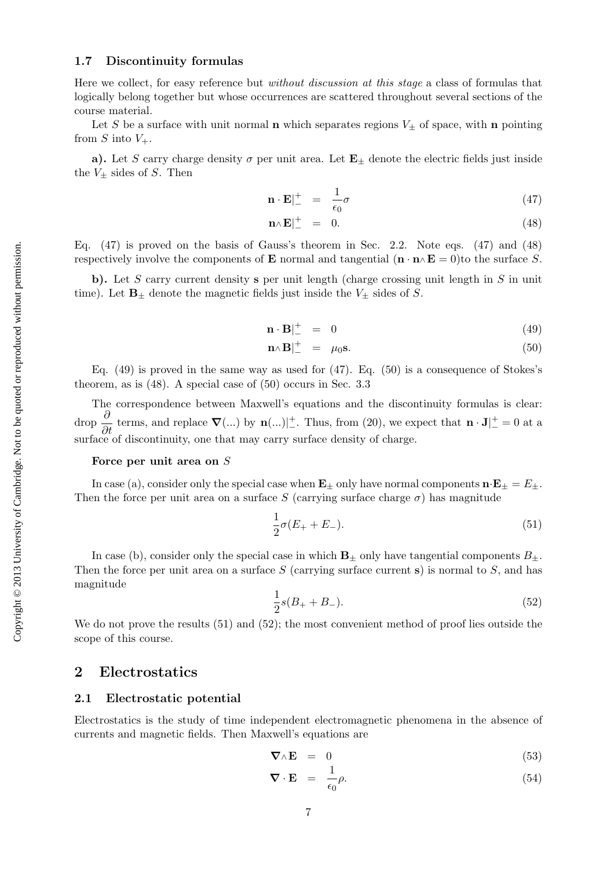# Copyright  $@$  2013 University of Cambridge. Not to be quoted or reproduced without permission. Copyright © 2013 University of Cambridge. Not to be quoted or reproduced without permission.

# 1.7 Discontinuity formulas

Here we collect, for easy reference but *without discussion at this stage* a class of formulas that logically belong together but whose occurrences are scattered throughout several sections of the course material.

Let S be a surface with unit normal **n** which separates regions  $V_{\pm}$  of space, with **n** pointing from S into  $V_+$ .

a). Let S carry charge density  $\sigma$  per unit area. Let  $\mathbf{E}_{\pm}$  denote the electric fields just inside the  $V_{\pm}$  sides of S. Then

$$
\mathbf{n} \cdot \mathbf{E}|_{-}^{+} = \frac{1}{\epsilon_0} \sigma \tag{47}
$$

$$
\mathbf{n}\wedge\mathbf{E}|_{-}^{+} = 0. \tag{48}
$$

Eq.  $(47)$  is proved on the basis of Gauss's theorem in Sec. 2.2. Note eqs.  $(47)$  and  $(48)$ respectively involve the components of **E** normal and tangential  $(\mathbf{n} \cdot \mathbf{n} \wedge \mathbf{E} = 0)$  to the surface S.

b). Let S carry current density s per unit length (charge crossing unit length in  $S$  in unit time). Let  $\mathbf{B}_{\pm}$  denote the magnetic fields just inside the  $V_{\pm}$  sides of S.

$$
\mathbf{n} \cdot \mathbf{B} \vert_{-}^{+} = 0 \tag{49}
$$

$$
\mathbf{n} \wedge \mathbf{B} \vert_{-}^{+} = \mu_0 \mathbf{s}.\tag{50}
$$

Eq.  $(49)$  is proved in the same way as used for  $(47)$ . Eq.  $(50)$  is a consequence of Stokes's theorem, as is (48). A special case of (50) occurs in Sec. 3.3

The correspondence between Maxwell's equations and the discontinuity formulas is clear: drop  $\frac{\partial}{\partial t}$  terms, and replace  $\nabla(...)$  by  $\mathbf{n}(...)$  Thus, from (20), we expect that  $\mathbf{n} \cdot \mathbf{J}^{\perp} = 0$  at a surface of discontinuity, one that may carry surface density of charge.

#### Force per unit area on S

In case (a), consider only the special case when  $\mathbf{E}_{\pm}$  only have normal components  $\mathbf{n} \cdot \mathbf{E}_{\pm} = E_{\pm}$ . Then the force per unit area on a surface S (carrying surface charge  $\sigma$ ) has magnitude

$$
\frac{1}{2}\sigma(E_{+} + E_{-}).
$$
\n(51)

In case (b), consider only the special case in which  $\mathbf{B}_{\pm}$  only have tangential components  $B_{\pm}$ . Then the force per unit area on a surface  $S$  (carrying surface current s) is normal to  $S$ , and has magnitude

$$
\frac{1}{2}s(B_{+} + B_{-}).
$$
\n(52)

We do not prove the results  $(51)$  and  $(52)$ ; the most convenient method of proof lies outside the scope of this course.

# 2 Electrostatics

# 2.1 Electrostatic potential

Electrostatics is the study of time independent electromagnetic phenomena in the absence of currents and magnetic fields. Then Maxwell's equations are

$$
\nabla \wedge \mathbf{E} = 0 \tag{53}
$$

$$
\nabla \cdot \mathbf{E} = \frac{1}{\epsilon_0} \rho. \tag{54}
$$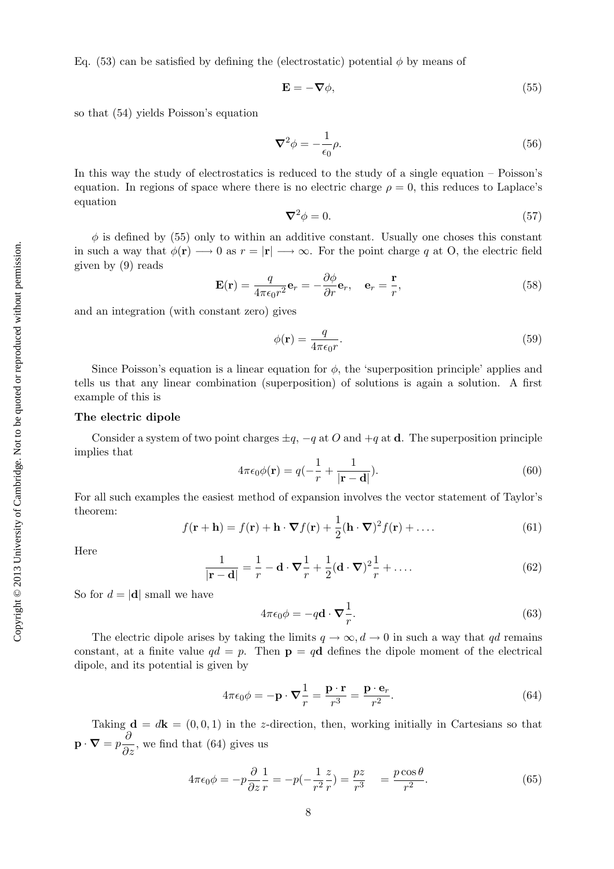Eq. (53) can be satisfied by defining the (electrostatic) potential  $\phi$  by means of

$$
\mathbf{E} = -\nabla \phi,\tag{55}
$$

so that (54) yields Poisson's equation

$$
\nabla^2 \phi = -\frac{1}{\epsilon_0} \rho. \tag{56}
$$

In this way the study of electrostatics is reduced to the study of a single equation – Poisson's equation. In regions of space where there is no electric charge  $\rho = 0$ , this reduces to Laplace's equation

$$
\nabla^2 \phi = 0. \tag{57}
$$

 $\phi$  is defined by (55) only to within an additive constant. Usually one choses this constant in such a way that  $\phi(\mathbf{r}) \longrightarrow 0$  as  $r = |\mathbf{r}| \longrightarrow \infty$ . For the point charge q at O, the electric field given by (9) reads

$$
\mathbf{E}(\mathbf{r}) = \frac{q}{4\pi\epsilon_0 r^2} \mathbf{e}_r = -\frac{\partial \phi}{\partial r} \mathbf{e}_r, \quad \mathbf{e}_r = \frac{\mathbf{r}}{r},
$$
(58)

and an integration (with constant zero) gives

$$
\phi(\mathbf{r}) = \frac{q}{4\pi\epsilon_0 r}.\tag{59}
$$

Since Poisson's equation is a linear equation for  $\phi$ , the 'superposition principle' applies and tells us that any linear combination (superposition) of solutions is again a solution. A first example of this is

#### The electric dipole

Consider a system of two point charges  $\pm q$ ,  $-q$  at O and  $+q$  at **d**. The superposition principle implies that

$$
4\pi\epsilon_0\phi(\mathbf{r}) = q(-\frac{1}{r} + \frac{1}{|\mathbf{r} - \mathbf{d}|}).\tag{60}
$$

For all such examples the easiest method of expansion involves the vector statement of Taylor's theorem:

$$
f(\mathbf{r} + \mathbf{h}) = f(\mathbf{r}) + \mathbf{h} \cdot \nabla f(\mathbf{r}) + \frac{1}{2} (\mathbf{h} \cdot \nabla)^2 f(\mathbf{r}) + \dots
$$
 (61)

Here

$$
\frac{1}{|\mathbf{r} - \mathbf{d}|} = \frac{1}{r} - \mathbf{d} \cdot \nabla \frac{1}{r} + \frac{1}{2} (\mathbf{d} \cdot \nabla)^2 \frac{1}{r} + \dots
$$
 (62)

So for  $d = |\mathbf{d}|$  small we have

$$
4\pi\epsilon_0 \phi = -q\mathbf{d} \cdot \mathbf{\nabla} \frac{1}{r}.\tag{63}
$$

The electric dipole arises by taking the limits  $q \to \infty$ ,  $d \to 0$  in such a way that qd remains constant, at a finite value  $qd = p$ . Then  $p = qd$  defines the dipole moment of the electrical dipole, and its potential is given by

$$
4\pi\epsilon_0 \phi = -\mathbf{p} \cdot \nabla \frac{1}{r} = \frac{\mathbf{p} \cdot \mathbf{r}}{r^3} = \frac{\mathbf{p} \cdot \mathbf{e}_r}{r^2}.
$$
 (64)

Taking  $\mathbf{d} = d\mathbf{k} = (0, 0, 1)$  in the z-direction, then, working initially in Cartesians so that  $\mathbf{p} \cdot \mathbf{\nabla} = p \frac{\partial}{\partial z}$ , we find that (64) gives us

$$
4\pi\epsilon_0 \phi = -p\frac{\partial}{\partial z}\frac{1}{r} = -p(-\frac{1}{r^2}\frac{z}{r}) = \frac{pz}{r^3} = \frac{p\cos\theta}{r^2}.
$$
\n(65)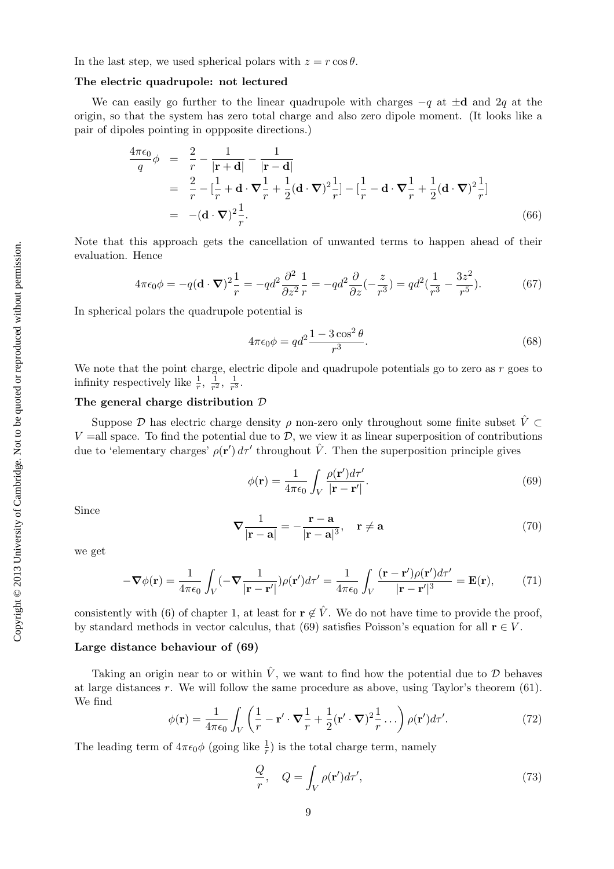In the last step, we used spherical polars with  $z = r \cos \theta$ .

#### The electric quadrupole: not lectured

We can easily go further to the linear quadrupole with charges  $-q$  at  $\pm d$  and 2q at the origin, so that the system has zero total charge and also zero dipole moment. (It looks like a pair of dipoles pointing in oppposite directions.)

$$
\frac{4\pi\epsilon_0}{q}\phi = \frac{2}{r} - \frac{1}{|\mathbf{r} + \mathbf{d}|} - \frac{1}{|\mathbf{r} - \mathbf{d}|}
$$
\n
$$
= \frac{2}{r} - \left[\frac{1}{r} + \mathbf{d} \cdot \nabla \frac{1}{r} + \frac{1}{2}(\mathbf{d} \cdot \nabla)^2 \frac{1}{r}\right] - \left[\frac{1}{r} - \mathbf{d} \cdot \nabla \frac{1}{r} + \frac{1}{2}(\mathbf{d} \cdot \nabla)^2 \frac{1}{r}\right]
$$
\n
$$
= -(\mathbf{d} \cdot \nabla)^2 \frac{1}{r}.
$$
\n(66)

Note that this approach gets the cancellation of unwanted terms to happen ahead of their evaluation. Hence

$$
4\pi\epsilon_0\phi = -q(\mathbf{d}\cdot\boldsymbol{\nabla})^2 \frac{1}{r} = -qd^2 \frac{\partial^2}{\partial z^2} \frac{1}{r} = -qd^2 \frac{\partial}{\partial z}(-\frac{z}{r^3}) = qd^2(\frac{1}{r^3} - \frac{3z^2}{r^5}).\tag{67}
$$

In spherical polars the quadrupole potential is

$$
4\pi\epsilon_0 \phi = q d^2 \frac{1 - 3\cos^2\theta}{r^3}.
$$
\n(68)

We note that the point charge, electric dipole and quadrupole potentials go to zero as  $r$  goes to infinity respectively like  $\frac{1}{r}$ ,  $\frac{1}{r^2}$  $\frac{1}{r^2}, \frac{1}{r^3}$  $\frac{1}{r^3}$ .

#### The general charge distribution D

Suppose  $\mathcal D$  has electric charge density  $\rho$  non-zero only throughout some finite subset  $\hat V \subset$  $V =$ all space. To find the potential due to  $\mathcal{D}$ , we view it as linear superposition of contributions due to 'elementary charges'  $\rho(\mathbf{r}') d\tau'$  throughout  $\hat{V}$ . Then the superposition principle gives

$$
\phi(\mathbf{r}) = \frac{1}{4\pi\epsilon_0} \int_V \frac{\rho(\mathbf{r}')d\tau'}{|\mathbf{r} - \mathbf{r}'|}.
$$
\n(69)

Since

$$
\nabla \frac{1}{|\mathbf{r} - \mathbf{a}|} = -\frac{\mathbf{r} - \mathbf{a}}{|\mathbf{r} - \mathbf{a}|^3}, \quad \mathbf{r} \neq \mathbf{a}
$$
 (70)

we get

$$
-\nabla\phi(\mathbf{r}) = \frac{1}{4\pi\epsilon_0} \int_V (-\nabla \frac{1}{|\mathbf{r} - \mathbf{r}'|}) \rho(\mathbf{r}') d\tau' = \frac{1}{4\pi\epsilon_0} \int_V \frac{(\mathbf{r} - \mathbf{r}') \rho(\mathbf{r}') d\tau'}{|\mathbf{r} - \mathbf{r}'|^3} = \mathbf{E}(\mathbf{r}),\tag{71}
$$

consistently with (6) of chapter 1, at least for  $\mathbf{r} \notin \hat{V}$ . We do not have time to provide the proof, by standard methods in vector calculus, that (69) satisfies Poisson's equation for all  $\mathbf{r} \in V$ .

#### Large distance behaviour of (69)

Taking an origin near to or within  $\hat{V}$ , we want to find how the potential due to  $\mathcal{D}$  behaves at large distances r. We will follow the same procedure as above, using Taylor's theorem (61). We find

$$
\phi(\mathbf{r}) = \frac{1}{4\pi\epsilon_0} \int_V \left(\frac{1}{r} - \mathbf{r}' \cdot \nabla \frac{1}{r} + \frac{1}{2} (\mathbf{r}' \cdot \nabla)^2 \frac{1}{r} \dots \right) \rho(\mathbf{r}') d\tau'. \tag{72}
$$

The leading term of  $4\pi\epsilon_0\phi$  (going like  $\frac{1}{r}$ ) is the total charge term, namely

$$
\frac{Q}{r}, \quad Q = \int_{V} \rho(\mathbf{r}') d\tau', \tag{73}
$$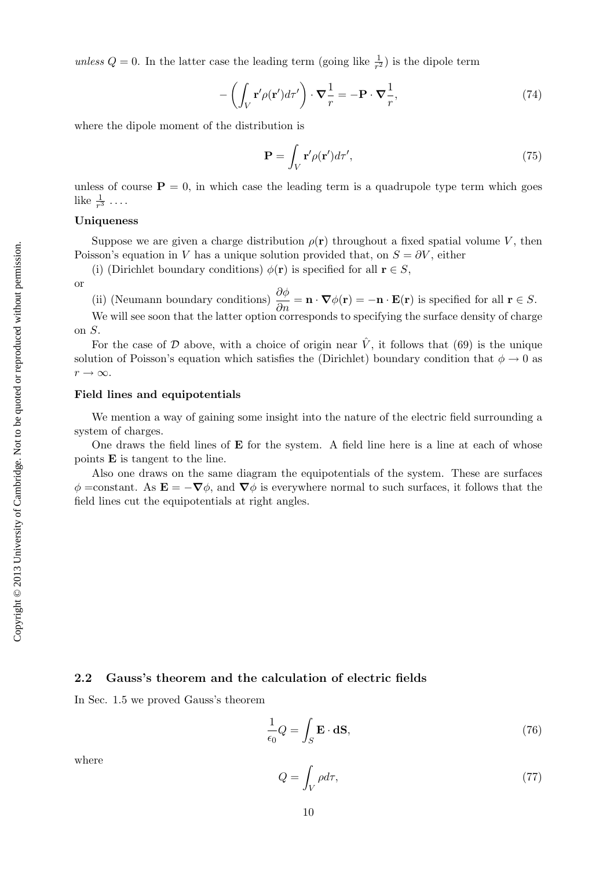unless  $Q = 0$ . In the latter case the leading term (going like  $\frac{1}{r^2}$ ) is the dipole term

$$
-\left(\int_{V} \mathbf{r}' \rho(\mathbf{r}') d\tau'\right) \cdot \nabla \frac{1}{r} = -\mathbf{P} \cdot \nabla \frac{1}{r},\tag{74}
$$

where the dipole moment of the distribution is

$$
\mathbf{P} = \int_{V} \mathbf{r}' \rho(\mathbf{r}') d\tau',\tag{75}
$$

unless of course  $P = 0$ , in which case the leading term is a quadrupole type term which goes like  $\frac{1}{r^3}$ ...

#### Uniqueness

Suppose we are given a charge distribution  $\rho(\mathbf{r})$  throughout a fixed spatial volume V, then Poisson's equation in V has a unique solution provided that, on  $S = \partial V$ , either

(i) (Dirichlet boundary conditions)  $\phi(\mathbf{r})$  is specified for all  $\mathbf{r} \in S$ ,

or

(ii) (Neumann boundary conditions)  $\frac{\partial \phi}{\partial n} = \mathbf{n} \cdot \nabla \phi(\mathbf{r}) = -\mathbf{n} \cdot \mathbf{E}(\mathbf{r})$  is specified for all  $\mathbf{r} \in S$ .

We will see soon that the latter option corresponds to specifying the surface density of charge on S.

For the case of  $\mathcal D$  above, with a choice of origin near  $\hat V$ , it follows that (69) is the unique solution of Poisson's equation which satisfies the (Dirichlet) boundary condition that  $\phi \to 0$  as  $r \rightarrow \infty$ .

#### Field lines and equipotentials

We mention a way of gaining some insight into the nature of the electric field surrounding a system of charges.

One draws the field lines of  $E$  for the system. A field line here is a line at each of whose points E is tangent to the line.

Also one draws on the same diagram the equipotentials of the system. These are surfaces  $\phi =$ constant. As  $\mathbf{E} = -\nabla \phi$ , and  $\nabla \phi$  is everywhere normal to such surfaces, it follows that the field lines cut the equipotentials at right angles.

#### 2.2 Gauss's theorem and the calculation of electric fields

In Sec. 1.5 we proved Gauss's theorem

$$
\frac{1}{\epsilon_0}Q = \int_S \mathbf{E} \cdot \mathbf{dS},\tag{76}
$$

where

$$
Q = \int_{V} \rho d\tau,\tag{77}
$$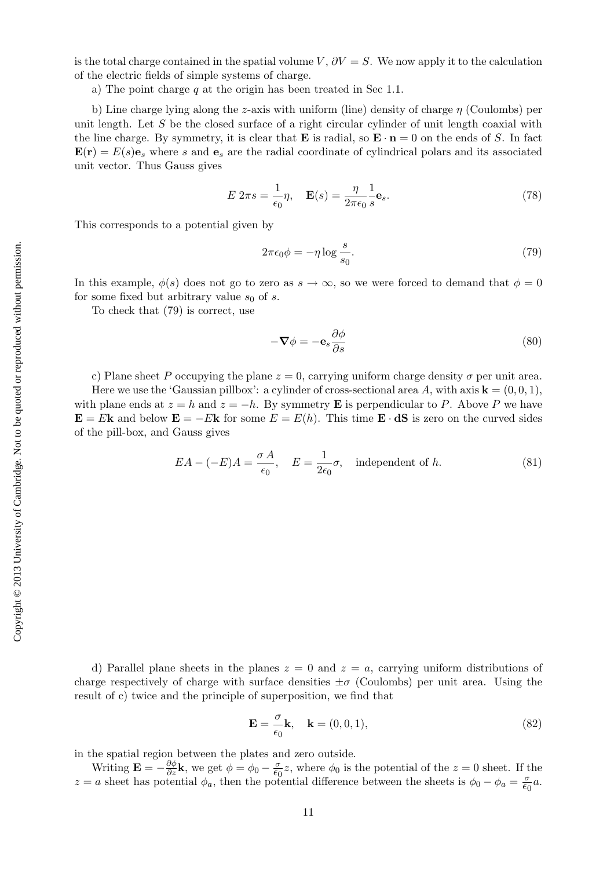is the total charge contained in the spatial volume V,  $\partial V = S$ . We now apply it to the calculation of the electric fields of simple systems of charge.

a) The point charge  $q$  at the origin has been treated in Sec 1.1.

b) Line charge lying along the z-axis with uniform (line) density of charge  $\eta$  (Coulombs) per unit length. Let  $S$  be the closed surface of a right circular cylinder of unit length coaxial with the line charge. By symmetry, it is clear that **E** is radial, so  $\mathbf{E} \cdot \mathbf{n} = 0$  on the ends of S. In fact  $\mathbf{E}(\mathbf{r}) = E(s)\mathbf{e}_s$  where s and  $\mathbf{e}_s$  are the radial coordinate of cylindrical polars and its associated unit vector. Thus Gauss gives

$$
E 2\pi s = \frac{1}{\epsilon_0} \eta, \quad \mathbf{E}(s) = \frac{\eta}{2\pi \epsilon_0} \frac{1}{s} \mathbf{e}_s.
$$
 (78)

This corresponds to a potential given by

$$
2\pi\epsilon_0 \phi = -\eta \log \frac{s}{s_0}.\tag{79}
$$

In this example,  $\phi(s)$  does not go to zero as  $s \to \infty$ , so we were forced to demand that  $\phi = 0$ for some fixed but arbitrary value  $s_0$  of s.

To check that (79) is correct, use

$$
-\nabla \phi = -\mathbf{e}_s \frac{\partial \phi}{\partial s} \tag{80}
$$

c) Plane sheet P occupying the plane  $z = 0$ , carrying uniform charge density  $\sigma$  per unit area.

Here we use the 'Gaussian pillbox': a cylinder of cross-sectional area A, with axis  $\mathbf{k} = (0, 0, 1)$ , with plane ends at  $z = h$  and  $z = -h$ . By symmetry **E** is perpendicular to P. Above P we have  $\mathbf{E} = E \mathbf{k}$  and below  $\mathbf{E} = -E \mathbf{k}$  for some  $E = E(h)$ . This time  $\mathbf{E} \cdot d\mathbf{S}$  is zero on the curved sides of the pill-box, and Gauss gives

$$
EA - (-E)A = \frac{\sigma A}{\epsilon_0}, \quad E = \frac{1}{2\epsilon_0} \sigma,
$$
 independent of h. (81)

d) Parallel plane sheets in the planes  $z = 0$  and  $z = a$ , carrying uniform distributions of charge respectively of charge with surface densities  $\pm \sigma$  (Coulombs) per unit area. Using the result of c) twice and the principle of superposition, we find that

$$
\mathbf{E} = \frac{\sigma}{\epsilon_0} \mathbf{k}, \quad \mathbf{k} = (0, 0, 1), \tag{82}
$$

in the spatial region between the plates and zero outside.

Writing  $\mathbf{E} = -\frac{\partial \phi}{\partial z} \mathbf{k}$ , we get  $\phi = \phi_0 - \frac{\sigma}{\epsilon_0} z$ , where  $\phi_0$  is the potential of the  $z = 0$  sheet. If the z = a sheet has potential  $\phi_a$ , then the potential difference between the sheets is  $\phi_0 - \phi_a = \frac{\sigma}{\epsilon_0} a$ .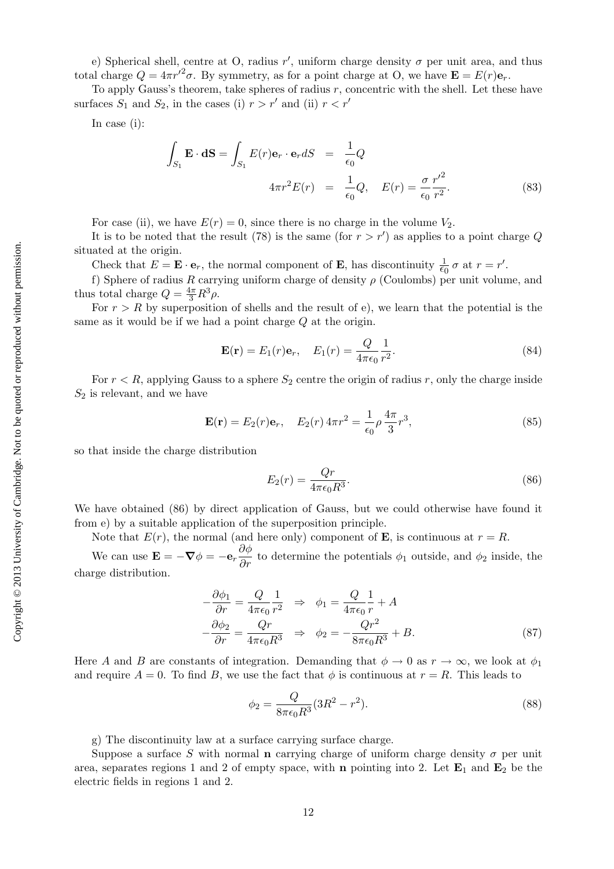e) Spherical shell, centre at O, radius  $r'$ , uniform charge density  $\sigma$  per unit area, and thus total charge  $Q = 4\pi r'^2 \sigma$ . By symmetry, as for a point charge at O, we have  $\mathbf{E} = E(r)\mathbf{e}_r$ .

To apply Gauss's theorem, take spheres of radius  $r$ , concentric with the shell. Let these have surfaces  $S_1$  and  $S_2$ , in the cases (i)  $r > r'$  and (ii)  $r < r'$ 

In case (i):

$$
\int_{S_1} \mathbf{E} \cdot d\mathbf{S} = \int_{S_1} E(r) \mathbf{e}_r \cdot \mathbf{e}_r dS = \frac{1}{\epsilon_0} Q
$$
  

$$
4\pi r^2 E(r) = \frac{1}{\epsilon_0} Q, \quad E(r) = \frac{\sigma}{\epsilon_0} \frac{r'^2}{r^2}.
$$
 (83)

For case (ii), we have  $E(r) = 0$ , since there is no charge in the volume  $V_2$ .

It is to be noted that the result (78) is the same (for  $r > r'$ ) as applies to a point charge Q situated at the origin.

Check that  $E = \mathbf{E} \cdot \mathbf{e}_r$ , the normal component of **E**, has discontinuity  $\frac{1}{\epsilon_0} \sigma$  at  $r = r'$ .

f) Sphere of radius R carrying uniform charge of density  $\rho$  (Coulombs) per unit volume, and thus total charge  $Q = \frac{4\pi}{3}R^3\rho$ .

For  $r > R$  by superposition of shells and the result of e), we learn that the potential is the same as it would be if we had a point charge Q at the origin.

$$
\mathbf{E}(\mathbf{r}) = E_1(r)\mathbf{e}_r, \quad E_1(r) = \frac{Q}{4\pi\epsilon_0} \frac{1}{r^2}.
$$
\n(84)

For  $r < R$ , applying Gauss to a sphere  $S_2$  centre the origin of radius r, only the charge inside  $S_2$  is relevant, and we have

$$
\mathbf{E}(\mathbf{r}) = E_2(r)\mathbf{e}_r, \quad E_2(r) 4\pi r^2 = \frac{1}{\epsilon_0} \rho \frac{4\pi}{3} r^3,
$$
\n(85)

so that inside the charge distribution

$$
E_2(r) = \frac{Qr}{4\pi\epsilon_0 R^3}.\tag{86}
$$

We have obtained (86) by direct application of Gauss, but we could otherwise have found it from e) by a suitable application of the superposition principle.

Note that  $E(r)$ , the normal (and here only) component of **E**, is continuous at  $r = R$ .

We can use  $\mathbf{E} = -\nabla \phi = -\mathbf{e}_r \frac{\partial \phi}{\partial r}$  to determine the potentials  $\phi_1$  outside, and  $\phi_2$  inside, the charge distribution.

$$
-\frac{\partial \phi_1}{\partial r} = \frac{Q}{4\pi\epsilon_0} \frac{1}{r^2} \Rightarrow \phi_1 = \frac{Q}{4\pi\epsilon_0} \frac{1}{r} + A
$$
  

$$
-\frac{\partial \phi_2}{\partial r} = \frac{Qr}{4\pi\epsilon_0 R^3} \Rightarrow \phi_2 = -\frac{Qr^2}{8\pi\epsilon_0 R^3} + B.
$$
 (87)

Here A and B are constants of integration. Demanding that  $\phi \to 0$  as  $r \to \infty$ , we look at  $\phi_1$ and require  $A = 0$ . To find B, we use the fact that  $\phi$  is continuous at  $r = R$ . This leads to

$$
\phi_2 = \frac{Q}{8\pi\epsilon_0 R^3} (3R^2 - r^2). \tag{88}
$$

g) The discontinuity law at a surface carrying surface charge.

Suppose a surface S with normal **n** carrying charge of uniform charge density  $\sigma$  per unit area, separates regions 1 and 2 of empty space, with **n** pointing into 2. Let  $\mathbf{E}_1$  and  $\mathbf{E}_2$  be the electric fields in regions 1 and 2.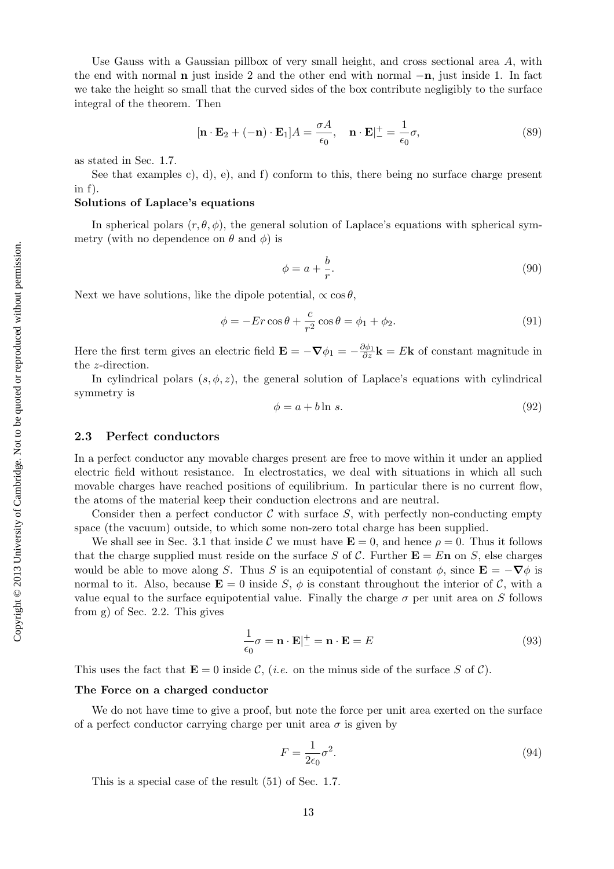Use Gauss with a Gaussian pillbox of very small height, and cross sectional area  $A$ , with the end with normal n just inside 2 and the other end with normal −n, just inside 1. In fact we take the height so small that the curved sides of the box contribute negligibly to the surface integral of the theorem. Then

$$
[\mathbf{n} \cdot \mathbf{E}_2 + (-\mathbf{n}) \cdot \mathbf{E}_1]A = \frac{\sigma A}{\epsilon_0}, \quad \mathbf{n} \cdot \mathbf{E}|_{-}^{+} = \frac{1}{\epsilon_0} \sigma,
$$
\n(89)

as stated in Sec. 1.7.

See that examples c), d), e), and f) conform to this, there being no surface charge present in f).

#### Solutions of Laplace's equations

In spherical polars  $(r, \theta, \phi)$ , the general solution of Laplace's equations with spherical symmetry (with no dependence on  $\theta$  and  $\phi$ ) is

$$
\phi = a + \frac{b}{r}.\tag{90}
$$

Next we have solutions, like the dipole potential,  $\propto \cos \theta$ ,

$$
\phi = -Er\cos\theta + \frac{c}{r^2}\cos\theta = \phi_1 + \phi_2.
$$
\n(91)

Here the first term gives an electric field  $\mathbf{E} = -\nabla \phi_1 = -\frac{\partial \phi_1}{\partial z}\mathbf{k} = E\mathbf{k}$  of constant magnitude in the z-direction.

In cylindrical polars  $(s, \phi, z)$ , the general solution of Laplace's equations with cylindrical symmetry is

$$
\phi = a + b \ln s. \tag{92}
$$

#### 2.3 Perfect conductors

In a perfect conductor any movable charges present are free to move within it under an applied electric field without resistance. In electrostatics, we deal with situations in which all such movable charges have reached positions of equilibrium. In particular there is no current flow, the atoms of the material keep their conduction electrons and are neutral.

Consider then a perfect conductor  $\mathcal C$  with surface  $S$ , with perfectly non-conducting empty space (the vacuum) outside, to which some non-zero total charge has been supplied.

We shall see in Sec. 3.1 that inside C we must have  $\mathbf{E} = 0$ , and hence  $\rho = 0$ . Thus it follows that the charge supplied must reside on the surface S of C. Further  $\mathbf{E} = E \mathbf{n}$  on S, else charges would be able to move along S. Thus S is an equipotential of constant  $\phi$ , since  $\mathbf{E} = -\nabla \phi$  is normal to it. Also, because  $\mathbf{E} = 0$  inside S,  $\phi$  is constant throughout the interior of C, with a value equal to the surface equipotential value. Finally the charge  $\sigma$  per unit area on S follows from g) of Sec. 2.2. This gives

$$
\frac{1}{\epsilon_0}\sigma = \mathbf{n} \cdot \mathbf{E}|_{-}^{+} = \mathbf{n} \cdot \mathbf{E} = E
$$
\n(93)

This uses the fact that  $\mathbf{E} = 0$  inside C, (*i.e.* on the minus side of the surface S of C).

#### The Force on a charged conductor

We do not have time to give a proof, but note the force per unit area exerted on the surface of a perfect conductor carrying charge per unit area  $\sigma$  is given by

$$
F = \frac{1}{2\epsilon_0} \sigma^2.
$$
\n(94)

This is a special case of the result (51) of Sec. 1.7.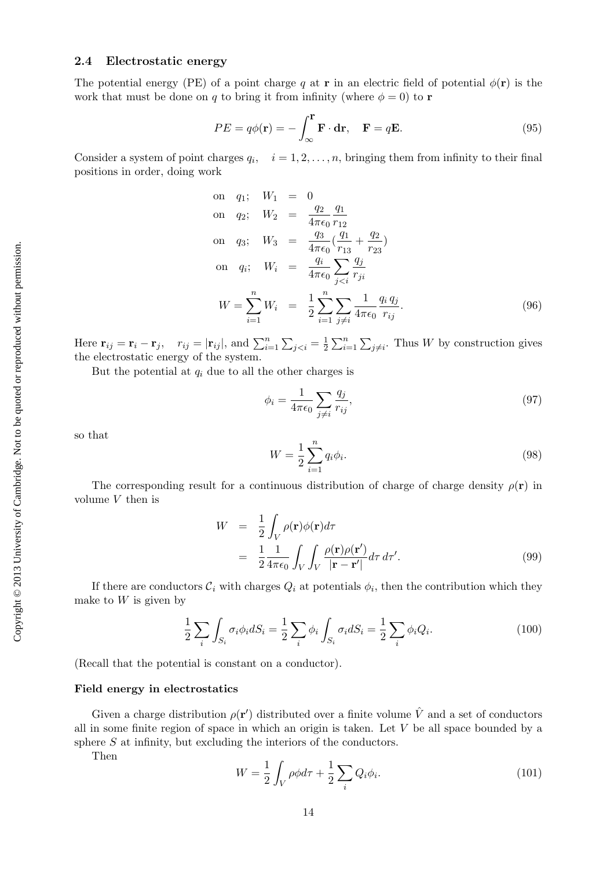# 2.4 Electrostatic energy

The potential energy (PE) of a point charge q at **r** in an electric field of potential  $\phi(\mathbf{r})$  is the work that must be done on q to bring it from infinity (where  $\phi = 0$ ) to **r** 

$$
PE = q\phi(\mathbf{r}) = -\int_{\infty}^{\mathbf{r}} \mathbf{F} \cdot \mathbf{dr}, \quad \mathbf{F} = q\mathbf{E}.
$$
 (95)

Consider a system of point charges  $q_i$ ,  $i = 1, 2, \ldots, n$ , bringing them from infinity to their final positions in order, doing work

on 
$$
q_1
$$
;  $W_1 = 0$   
\non  $q_2$ ;  $W_2 = \frac{q_2}{4\pi\epsilon_0} \frac{q_1}{r_{12}}$   
\non  $q_3$ ;  $W_3 = \frac{q_3}{4\pi\epsilon_0} (\frac{q_1}{r_{13}} + \frac{q_2}{r_{23}})$   
\non  $q_i$ ;  $W_i = \frac{q_i}{4\pi\epsilon_0} \sum_{j  
\n $W = \sum_{i=1}^n W_i = \frac{1}{2} \sum_{i=1}^n \sum_{j \neq i} \frac{1}{4\pi\epsilon_0} \frac{q_i q_j}{r_{ij}}$ . (96)$ 

Here  $\mathbf{r}_{ij} = \mathbf{r}_i - \mathbf{r}_j$ ,  $r_{ij} = |\mathbf{r}_{ij}|$ , and  $\sum_{i=1}^{n} \sum_{j < i} = \frac{1}{2}$  $\frac{1}{2} \sum_{i=1}^{n} \sum_{j \neq i}$ . Thus W by construction gives the electrostatic energy of the system.

But the potential at  $q_i$  due to all the other charges is

$$
\phi_i = \frac{1}{4\pi\epsilon_0} \sum_{j \neq i} \frac{q_j}{r_{ij}},\tag{97}
$$

so that

$$
W = \frac{1}{2} \sum_{i=1}^{n} q_i \phi_i.
$$
 (98)

The corresponding result for a continuous distribution of charge of charge density  $\rho(\mathbf{r})$  in volume  $V$  then is

$$
W = \frac{1}{2} \int_{V} \rho(\mathbf{r}) \phi(\mathbf{r}) d\tau
$$
  
= 
$$
\frac{1}{2} \frac{1}{4\pi\epsilon_0} \int_{V} \int_{V} \frac{\rho(\mathbf{r}) \rho(\mathbf{r}')}{|\mathbf{r} - \mathbf{r}'|} d\tau d\tau'.
$$
 (99)

If there are conductors  $\mathcal{C}_i$  with charges  $Q_i$  at potentials  $\phi_i$ , then the contribution which they make to  $W$  is given by

$$
\frac{1}{2}\sum_{i}\int_{S_i}\sigma_i\phi_i dS_i = \frac{1}{2}\sum_{i}\phi_i \int_{S_i}\sigma_i dS_i = \frac{1}{2}\sum_{i}\phi_i Q_i.
$$
\n(100)

(Recall that the potential is constant on a conductor).

#### Field energy in electrostatics

Given a charge distribution  $\rho(\mathbf{r}')$  distributed over a finite volume  $\hat{V}$  and a set of conductors all in some finite region of space in which an origin is taken. Let  $V$  be all space bounded by a sphere  $S$  at infinity, but excluding the interiors of the conductors.

Then

$$
W = \frac{1}{2} \int_{V} \rho \phi d\tau + \frac{1}{2} \sum_{i} Q_i \phi_i.
$$
 (101)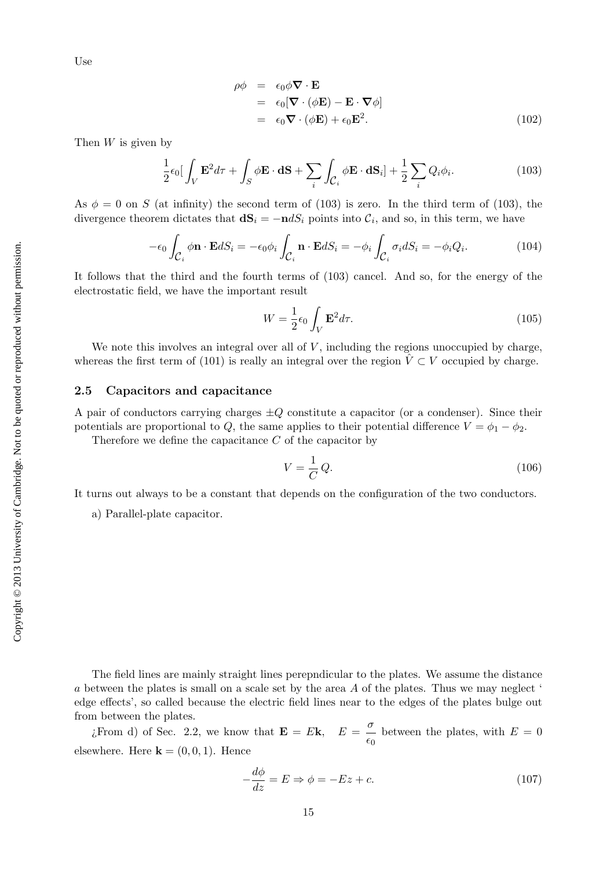Use

$$
\rho \phi = \epsilon_0 \phi \nabla \cdot \mathbf{E}
$$
  
=  $\epsilon_0 [\nabla \cdot (\phi \mathbf{E}) - \mathbf{E} \cdot \nabla \phi]$   
=  $\epsilon_0 \nabla \cdot (\phi \mathbf{E}) + \epsilon_0 \mathbf{E}^2$ . (102)

Then  $W$  is given by

$$
\frac{1}{2}\epsilon_0 \left[ \int_V \mathbf{E}^2 d\tau + \int_S \phi \mathbf{E} \cdot \mathbf{dS} + \sum_i \int_{\mathcal{C}_i} \phi \mathbf{E} \cdot \mathbf{dS}_i \right] + \frac{1}{2} \sum_i Q_i \phi_i.
$$
 (103)

As  $\phi = 0$  on S (at infinity) the second term of (103) is zero. In the third term of (103), the divergence theorem dictates that  $d\mathbf{S}_i = -\mathbf{n} dS_i$  points into  $\mathcal{C}_i$ , and so, in this term, we have

$$
-\epsilon_0 \int_{\mathcal{C}_i} \phi \mathbf{n} \cdot \mathbf{E} dS_i = -\epsilon_0 \phi_i \int_{\mathcal{C}_i} \mathbf{n} \cdot \mathbf{E} dS_i = -\phi_i \int_{\mathcal{C}_i} \sigma_i dS_i = -\phi_i Q_i.
$$
 (104)

It follows that the third and the fourth terms of (103) cancel. And so, for the energy of the electrostatic field, we have the important result

$$
W = \frac{1}{2}\epsilon_0 \int_V \mathbf{E}^2 d\tau.
$$
\n(105)

We note this involves an integral over all of  $V$ , including the regions unoccupied by charge, whereas the first term of (101) is really an integral over the region  $\hat{V} \subset V$  occupied by charge.

#### 2.5 Capacitors and capacitance

A pair of conductors carrying charges  $\pm Q$  constitute a capacitor (or a condenser). Since their potentials are proportional to Q, the same applies to their potential difference  $V = \phi_1 - \phi_2$ .

Therefore we define the capacitance  $C$  of the capacitor by

$$
V = \frac{1}{C}Q.\t(106)
$$

It turns out always to be a constant that depends on the configuration of the two conductors.

a) Parallel-plate capacitor.

The field lines are mainly straight lines perepndicular to the plates. We assume the distance a between the plates is small on a scale set by the area  $A$  of the plates. Thus we may neglect  $\dot{\phantom{a}}$ edge effects', so called because the electric field lines near to the edges of the plates bulge out from between the plates.

 $\iota$  From d) of Sec. 2.2, we know that  $\mathbf{E} = E \mathbf{k}$ ,  $E = \frac{\sigma}{\sigma}$  $\frac{6}{60}$  between the plates, with  $E = 0$ elsewhere. Here  $\mathbf{k} = (0, 0, 1)$ . Hence

$$
-\frac{d\phi}{dz} = E \Rightarrow \phi = -Ez + c.
$$
 (107)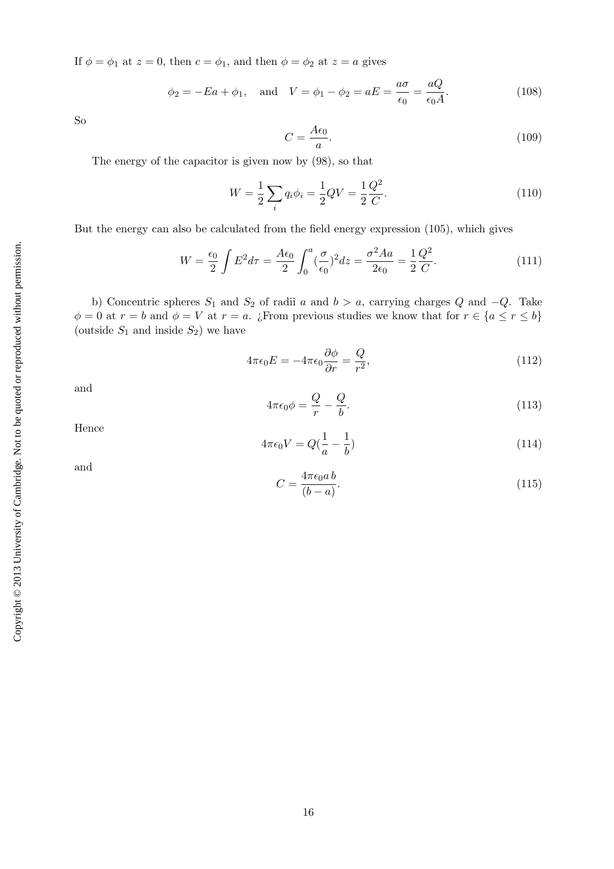If  $\phi = \phi_1$  at  $z = 0$ , then  $c = \phi_1$ , and then  $\phi = \phi_2$  at  $z = a$  gives

$$
\phi_2 = -Ea + \phi_1
$$
, and  $V = \phi_1 - \phi_2 = aE = \frac{a\sigma}{\epsilon_0} = \frac{aQ}{\epsilon_0 A}$ . (108)

So

$$
C = \frac{A\epsilon_0}{a}.\tag{109}
$$

The energy of the capacitor is given now by (98), so that

$$
W = \frac{1}{2} \sum_{i} q_i \phi_i = \frac{1}{2} QV = \frac{1}{2} \frac{Q^2}{C}.
$$
\n(110)

But the energy can also be calculated from the field energy expression (105), which gives

$$
W = \frac{\epsilon_0}{2} \int E^2 d\tau = \frac{A\epsilon_0}{2} \int_0^a (\frac{\sigma}{\epsilon_0})^2 dz = \frac{\sigma^2 A a}{2\epsilon_0} = \frac{1}{2} \frac{Q^2}{C}.
$$
 (111)

b) Concentric spheres  $S_1$  and  $S_2$  of radii a and  $b > a$ , carrying charges Q and  $-Q$ . Take  $\phi = 0$  at  $r = b$  and  $\phi = V$  at  $r = a$ . ¿From previous studies we know that for  $r \in \{a \le r \le b\}$ (outside  $S_1$  and inside  $S_2$ ) we have

$$
4\pi\epsilon_0 E = -4\pi\epsilon_0 \frac{\partial \phi}{\partial r} = \frac{Q}{r^2},\tag{112}
$$

and

$$
4\pi\epsilon_0 \phi = \frac{Q}{r} - \frac{Q}{b}.\tag{113}
$$

Hence

$$
4\pi\epsilon_0 V = Q(\frac{1}{a} - \frac{1}{b})\tag{114}
$$

and

$$
C = \frac{4\pi\epsilon_0 a b}{(b-a)}.\t(115)
$$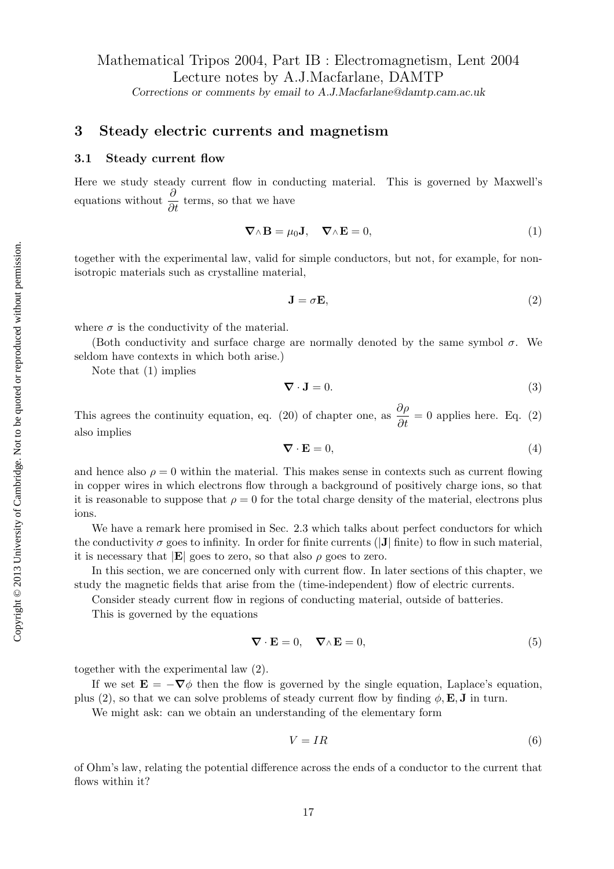# Mathematical Tripos 2004, Part IB : Electromagnetism, Lent 2004 Lecture notes by A.J.Macfarlane, DAMTP

Corrections or comments by email to A.J.Macfarlane@damtp.cam.ac.uk

# 3 Steady electric currents and magnetism

#### 3.1 Steady current flow

Here we study steady current flow in conducting material. This is governed by Maxwell's equations without  $\frac{\partial}{\partial t}$  terms, so that we have

$$
\nabla \wedge \mathbf{B} = \mu_0 \mathbf{J}, \quad \nabla \wedge \mathbf{E} = 0,
$$
\n(1)

together with the experimental law, valid for simple conductors, but not, for example, for nonisotropic materials such as crystalline material,

$$
\mathbf{J} = \sigma \mathbf{E},\tag{2}
$$

where  $\sigma$  is the conductivity of the material.

(Both conductivity and surface charge are normally denoted by the same symbol  $\sigma$ . We seldom have contexts in which both arise.)

Note that (1) implies

$$
\nabla \cdot \mathbf{J} = 0. \tag{3}
$$

This agrees the continuity equation, eq. (20) of chapter one, as  $\frac{\partial \rho}{\partial t} = 0$  applies here. Eq. (2) also implies

$$
\nabla \cdot \mathbf{E} = 0,\tag{4}
$$

and hence also  $\rho = 0$  within the material. This makes sense in contexts such as current flowing in copper wires in which electrons flow through a background of positively charge ions, so that it is reasonable to suppose that  $\rho = 0$  for the total charge density of the material, electrons plus ions.

We have a remark here promised in Sec. 2.3 which talks about perfect conductors for which the conductivity  $\sigma$  goes to infinity. In order for finite currents (|J| finite) to flow in such material, it is necessary that  $|\mathbf{E}|$  goes to zero, so that also  $\rho$  goes to zero.

In this section, we are concerned only with current flow. In later sections of this chapter, we study the magnetic fields that arise from the (time-independent) flow of electric currents.

Consider steady current flow in regions of conducting material, outside of batteries.

This is governed by the equations

$$
\nabla \cdot \mathbf{E} = 0, \quad \nabla \wedge \mathbf{E} = 0,
$$
\n(5)

together with the experimental law (2).

If we set  $\mathbf{E} = -\nabla \phi$  then the flow is governed by the single equation, Laplace's equation, plus (2), so that we can solve problems of steady current flow by finding  $\phi$ , **E**, **J** in turn.

We might ask: can we obtain an understanding of the elementary form

$$
V = IR \tag{6}
$$

of Ohm's law, relating the potential difference across the ends of a conductor to the current that flows within it?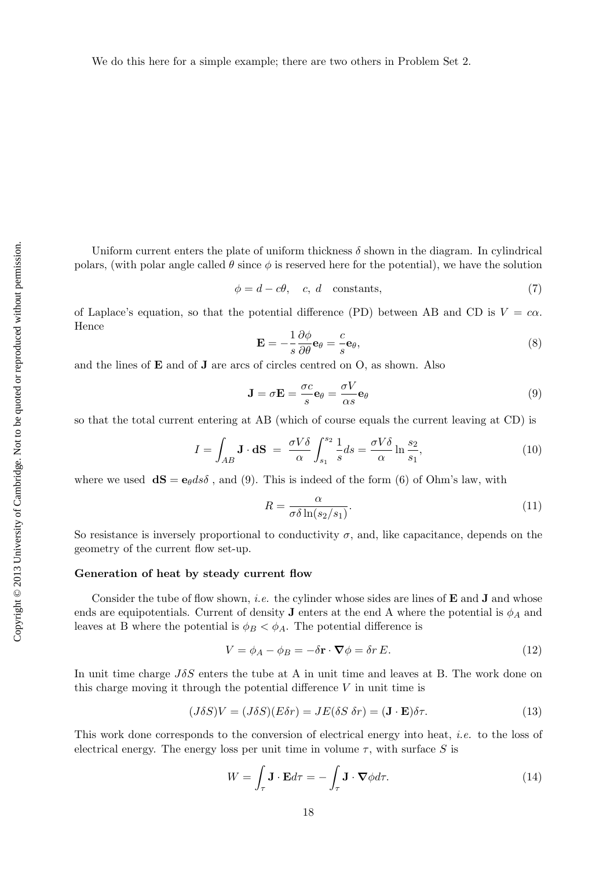We do this here for a simple example; there are two others in Problem Set 2.

Uniform current enters the plate of uniform thickness  $\delta$  shown in the diagram. In cylindrical polars, (with polar angle called  $\theta$  since  $\phi$  is reserved here for the potential), we have the solution

$$
\phi = d - c\theta, \quad c, \, d \quad \text{constants}, \tag{7}
$$

of Laplace's equation, so that the potential difference (PD) between AB and CD is  $V = c\alpha$ . Hence

$$
\mathbf{E} = -\frac{1}{s} \frac{\partial \phi}{\partial \theta} \mathbf{e}_{\theta} = \frac{c}{s} \mathbf{e}_{\theta},\tag{8}
$$

and the lines of E and of J are arcs of circles centred on O, as shown. Also

$$
\mathbf{J} = \sigma \mathbf{E} = \frac{\sigma c}{s} \mathbf{e}_{\theta} = \frac{\sigma V}{\alpha s} \mathbf{e}_{\theta}
$$
 (9)

so that the total current entering at AB (which of course equals the current leaving at CD) is

$$
I = \int_{AB} \mathbf{J} \cdot \mathbf{dS} = \frac{\sigma V \delta}{\alpha} \int_{s_1}^{s_2} \frac{1}{s} ds = \frac{\sigma V \delta}{\alpha} \ln \frac{s_2}{s_1},\tag{10}
$$

where we used  $\mathbf{dS} = \mathbf{e}_{\theta} d s \delta$ , and (9). This is indeed of the form (6) of Ohm's law, with

$$
R = \frac{\alpha}{\sigma \delta \ln(s_2/s_1)}.\tag{11}
$$

So resistance is inversely proportional to conductivity  $\sigma$ , and, like capacitance, depends on the geometry of the current flow set-up.

#### Generation of heat by steady current flow

Consider the tube of flow shown, *i.e.* the cylinder whose sides are lines of  $E$  and  $J$  and whose ends are equipotentials. Current of density **J** enters at the end A where the potential is  $\phi_A$  and leaves at B where the potential is  $\phi_B < \phi_A$ . The potential difference is

$$
V = \phi_A - \phi_B = -\delta \mathbf{r} \cdot \nabla \phi = \delta r E. \tag{12}
$$

In unit time charge  $J\delta S$  enters the tube at A in unit time and leaves at B. The work done on this charge moving it through the potential difference  $V$  in unit time is

$$
(J\delta S)V = (J\delta S)(E\delta r) = JE(\delta S \delta r) = (\mathbf{J} \cdot \mathbf{E})\delta \tau.
$$
\n(13)

This work done corresponds to the conversion of electrical energy into heat, i.e. to the loss of electrical energy. The energy loss per unit time in volume  $\tau$ , with surface S is

$$
W = \int_{\tau} \mathbf{J} \cdot \mathbf{E} d\tau = -\int_{\tau} \mathbf{J} \cdot \mathbf{\nabla} \phi d\tau.
$$
 (14)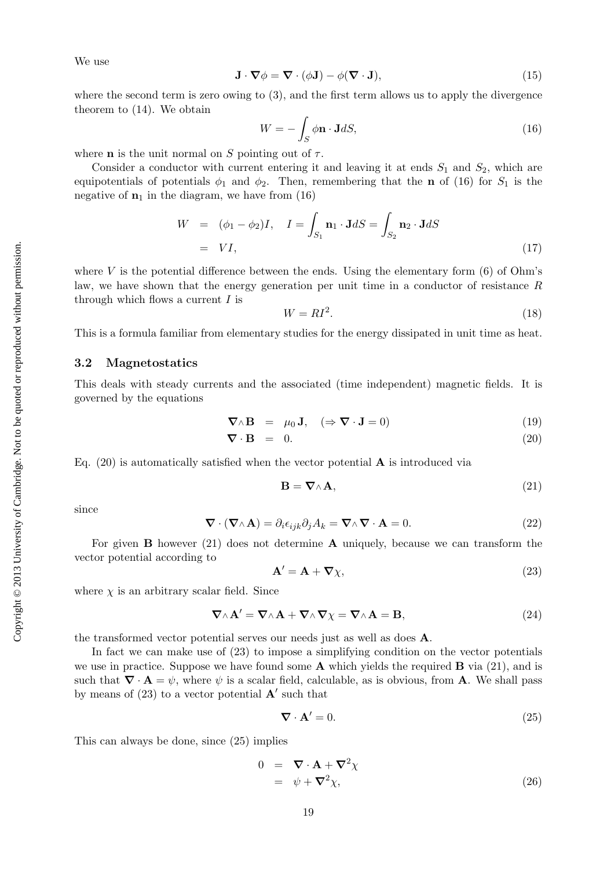Copyright © 2013 University of Cambridge. Not to be quoted or reproduced without permission. Copyright © 2013 University of Cambridge. Not to be quoted or reproduced without permission. We use

$$
\mathbf{J} \cdot \nabla \phi = \nabla \cdot (\phi \mathbf{J}) - \phi (\nabla \cdot \mathbf{J}), \tag{15}
$$

where the second term is zero owing to (3), and the first term allows us to apply the divergence theorem to (14). We obtain

$$
W = -\int_{S} \phi \mathbf{n} \cdot \mathbf{J} dS, \tag{16}
$$

where **n** is the unit normal on S pointing out of  $\tau$ .

Consider a conductor with current entering it and leaving it at ends  $S_1$  and  $S_2$ , which are equipotentials of potentials  $\phi_1$  and  $\phi_2$ . Then, remembering that the **n** of (16) for  $S_1$  is the negative of  $\mathbf{n}_1$  in the diagram, we have from (16)

$$
W = (\phi_1 - \phi_2)I, \quad I = \int_{S_1} \mathbf{n}_1 \cdot \mathbf{J} dS = \int_{S_2} \mathbf{n}_2 \cdot \mathbf{J} dS
$$

$$
= VI,
$$
 (17)

where V is the potential difference between the ends. Using the elementary form  $(6)$  of Ohm's law, we have shown that the energy generation per unit time in a conductor of resistance R through which flows a current  $I$  is

$$
W = RI^2. \tag{18}
$$

This is a formula familiar from elementary studies for the energy dissipated in unit time as heat.

#### 3.2 Magnetostatics

This deals with steady currents and the associated (time independent) magnetic fields. It is governed by the equations

$$
\nabla \wedge \mathbf{B} = \mu_0 \mathbf{J}, \quad (\Rightarrow \nabla \cdot \mathbf{J} = 0)
$$
 (19)

$$
\nabla \cdot \mathbf{B} = 0. \tag{20}
$$

Eq.  $(20)$  is automatically satisfied when the vector potential **A** is introduced via

$$
\mathbf{B} = \nabla \wedge \mathbf{A},\tag{21}
$$

since

$$
\nabla \cdot (\nabla \wedge \mathbf{A}) = \partial_i \epsilon_{ijk} \partial_j A_k = \nabla \wedge \nabla \cdot \mathbf{A} = 0.
$$
 (22)

For given **B** however  $(21)$  does not determine **A** uniquely, because we can transform the vector potential according to

$$
\mathbf{A}' = \mathbf{A} + \nabla \chi,\tag{23}
$$

where  $\chi$  is an arbitrary scalar field. Since

$$
\nabla \wedge \mathbf{A}' = \nabla \wedge \mathbf{A} + \nabla \wedge \nabla \chi = \nabla \wedge \mathbf{A} = \mathbf{B},
$$
\n(24)

the transformed vector potential serves our needs just as well as does A.

In fact we can make use of (23) to impose a simplifying condition on the vector potentials we use in practice. Suppose we have found some  $A$  which yields the required  $B$  via (21), and is such that  $\nabla \cdot \mathbf{A} = \psi$ , where  $\psi$  is a scalar field, calculable, as is obvious, from **A**. We shall pass by means of  $(23)$  to a vector potential  $\mathbf{A}'$  such that

$$
\nabla \cdot \mathbf{A}' = 0. \tag{25}
$$

This can always be done, since (25) implies

$$
0 = \nabla \cdot \mathbf{A} + \nabla^2 \chi
$$
  
=  $\psi + \nabla^2 \chi$ , (26)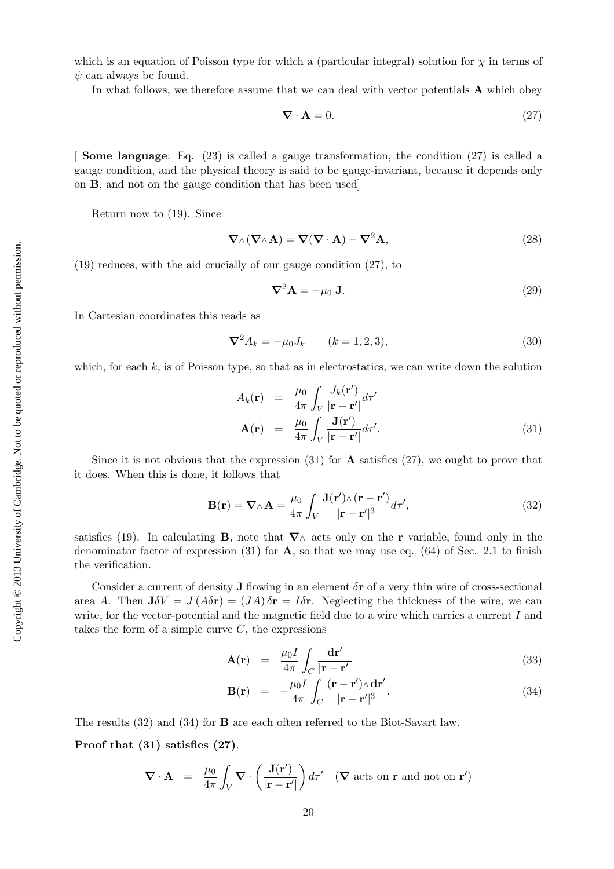which is an equation of Poisson type for which a (particular integral) solution for  $\chi$  in terms of  $\psi$  can always be found.

In what follows, we therefore assume that we can deal with vector potentials **A** which obey

$$
\nabla \cdot \mathbf{A} = 0. \tag{27}
$$

[ Some language: Eq. (23) is called a gauge transformation, the condition (27) is called a gauge condition, and the physical theory is said to be gauge-invariant, because it depends only on B, and not on the gauge condition that has been used]

Return now to (19). Since

$$
\nabla \wedge (\nabla \wedge \mathbf{A}) = \nabla (\nabla \cdot \mathbf{A}) - \nabla^2 \mathbf{A},
$$
\n(28)

(19) reduces, with the aid crucially of our gauge condition (27), to

$$
\nabla^2 \mathbf{A} = -\mu_0 \mathbf{J}.
$$
 (29)

In Cartesian coordinates this reads as

$$
\nabla^2 A_k = -\mu_0 J_k \qquad (k = 1, 2, 3), \tag{30}
$$

which, for each  $k$ , is of Poisson type, so that as in electrostatics, we can write down the solution

$$
A_k(\mathbf{r}) = \frac{\mu_0}{4\pi} \int_V \frac{J_k(\mathbf{r}')}{|\mathbf{r} - \mathbf{r}'|} d\tau'
$$
  

$$
\mathbf{A}(\mathbf{r}) = \frac{\mu_0}{4\pi} \int_V \frac{\mathbf{J}(\mathbf{r}')}{|\mathbf{r} - \mathbf{r}'|} d\tau'.
$$
 (31)

Since it is not obvious that the expression  $(31)$  for **A** satisfies  $(27)$ , we ought to prove that it does. When this is done, it follows that

$$
\mathbf{B}(\mathbf{r}) = \nabla \wedge \mathbf{A} = \frac{\mu_0}{4\pi} \int_V \frac{\mathbf{J}(\mathbf{r}') \wedge (\mathbf{r} - \mathbf{r}')}{|\mathbf{r} - \mathbf{r}'|^3} d\tau', \tag{32}
$$

satisfies (19). In calculating **B**, note that  $\nabla \wedge$  acts only on the **r** variable, found only in the denominator factor of expression  $(31)$  for **A**, so that we may use eq.  $(64)$  of Sec. 2.1 to finish the verification.

Consider a current of density **J** flowing in an element  $\delta$ **r** of a very thin wire of cross-sectional area A. Then  $J\delta V = J(A\delta r) = (JA)\delta r = I\delta r$ . Neglecting the thickness of the wire, we can write, for the vector-potential and the magnetic field due to a wire which carries a current I and takes the form of a simple curve  $C$ , the expressions

$$
\mathbf{A}(\mathbf{r}) = \frac{\mu_0 I}{4\pi} \int_C \frac{\mathbf{dr}'}{|\mathbf{r} - \mathbf{r}'|}
$$
(33)

$$
\mathbf{B}(\mathbf{r}) = -\frac{\mu_0 I}{4\pi} \int_C \frac{(\mathbf{r} - \mathbf{r}') \wedge \mathbf{dr}'}{|\mathbf{r} - \mathbf{r}'|^3}.
$$
 (34)

The results (32) and (34) for B are each often referred to the Biot-Savart law.

Proof that (31) satisfies (27).

$$
\nabla \cdot \mathbf{A} = \frac{\mu_0}{4\pi} \int_V \nabla \cdot \left( \frac{\mathbf{J}(\mathbf{r}')}{|\mathbf{r} - \mathbf{r}'|} \right) d\tau' \quad (\nabla \text{ acts on } \mathbf{r} \text{ and not on } \mathbf{r}')
$$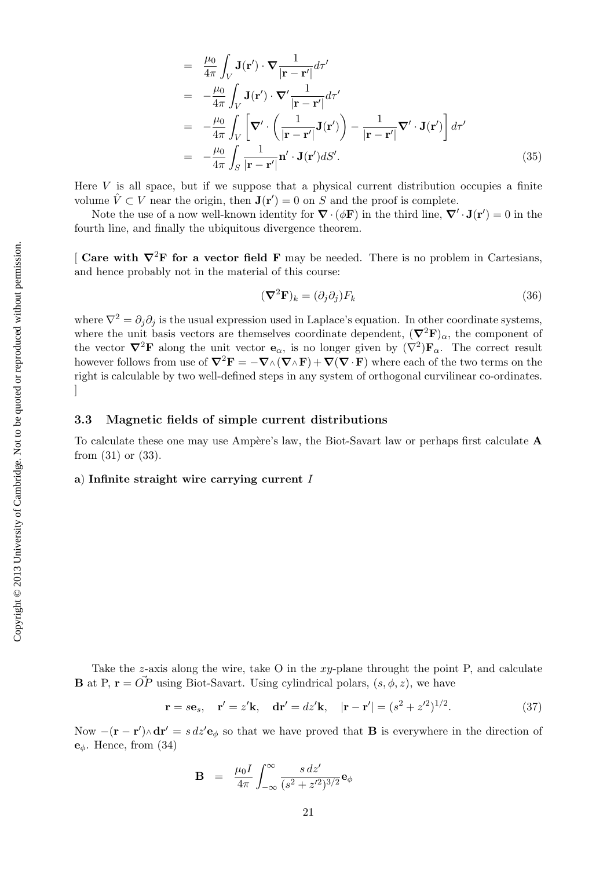$$
= \frac{\mu_0}{4\pi} \int_V \mathbf{J}(\mathbf{r}') \cdot \nabla \frac{1}{|\mathbf{r} - \mathbf{r}'|} d\tau'
$$
  
\n
$$
= -\frac{\mu_0}{4\pi} \int_V \mathbf{J}(\mathbf{r}') \cdot \nabla' \frac{1}{|\mathbf{r} - \mathbf{r}'|} d\tau'
$$
  
\n
$$
= -\frac{\mu_0}{4\pi} \int_V \left[ \nabla' \cdot \left( \frac{1}{|\mathbf{r} - \mathbf{r}'|} \mathbf{J}(\mathbf{r}') \right) - \frac{1}{|\mathbf{r} - \mathbf{r}'|} \nabla' \cdot \mathbf{J}(\mathbf{r}') \right] d\tau'
$$
  
\n
$$
= -\frac{\mu_0}{4\pi} \int_S \frac{1}{|\mathbf{r} - \mathbf{r}'|} \mathbf{n}' \cdot \mathbf{J}(\mathbf{r}') dS'.
$$
\n(35)

Here  $V$  is all space, but if we suppose that a physical current distribution occupies a finite volume  $\hat{V} \subset V$  near the origin, then  $\mathbf{J}(\mathbf{r}') = 0$  on S and the proof is complete.

Note the use of a now well-known identity for  $\nabla \cdot (\phi \mathbf{F})$  in the third line,  $\nabla' \cdot \mathbf{J}(\mathbf{r}') = 0$  in the fourth line, and finally the ubiquitous divergence theorem.

[ Care with  $\nabla^2$ F for a vector field F may be needed. There is no problem in Cartesians, and hence probably not in the material of this course:

$$
(\nabla^2 \mathbf{F})_k = (\partial_j \partial_j) F_k \tag{36}
$$

where  $\nabla^2 = \partial_i \partial_j$  is the usual expression used in Laplace's equation. In other coordinate systems, where the unit basis vectors are themselves coordinate dependent,  $(\nabla^2 \mathbf{F})_{\alpha}$ , the component of the vector  $\nabla^2 \mathbf{F}$  along the unit vector  $\mathbf{e}_{\alpha}$ , is no longer given by  $(\nabla^2)\mathbf{F}_{\alpha}$ . The correct result however follows from use of  $\nabla^2 \mathbf{F} = -\nabla \wedge (\nabla \wedge \mathbf{F}) + \nabla (\nabla \cdot \mathbf{F})$  where each of the two terms on the right is calculable by two well-defined steps in any system of orthogonal curvilinear co-ordinates.  $\overline{\phantom{a}}$ 

#### 3.3 Magnetic fields of simple current distributions

To calculate these one may use Ampère's law, the Biot-Savart law or perhaps first calculate  $\bf{A}$ from (31) or (33).

## a) Infinite straight wire carrying current I

Take the  $z$ -axis along the wire, take O in the  $xy$ -plane throught the point P, and calculate **B** at P,  $\mathbf{r} = \vec{OP}$  using Biot-Savart. Using cylindrical polars,  $(s, \phi, z)$ , we have

$$
\mathbf{r} = s\mathbf{e}_s, \quad \mathbf{r}' = z'\mathbf{k}, \quad \mathbf{dr}' = dz'\mathbf{k}, \quad |\mathbf{r} - \mathbf{r}'| = (s^2 + z'^2)^{1/2}.
$$
 (37)

Now  $-(\mathbf{r} - \mathbf{r}') \wedge d\mathbf{r}' = s \, dz' \mathbf{e}_{\phi}$  so that we have proved that **B** is everywhere in the direction of  $e_{\phi}$ . Hence, from (34)

$$
\mathbf{B} = \frac{\mu_0 I}{4\pi} \int_{-\infty}^{\infty} \frac{s \, dz'}{(s^2 + z'^2)^{3/2}} \mathbf{e}_{\phi}
$$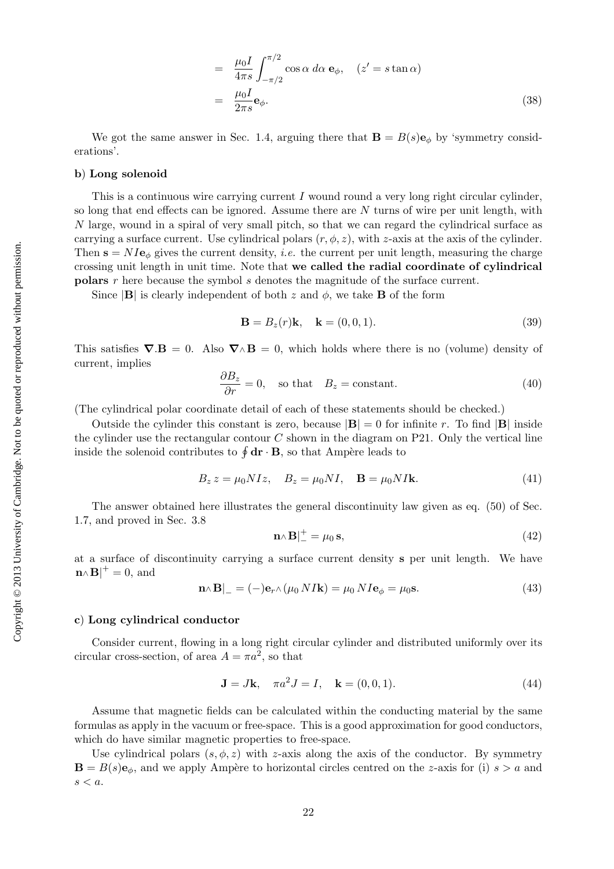$$
= \frac{\mu_0 I}{4\pi s} \int_{-\pi/2}^{\pi/2} \cos \alpha \, d\alpha \, \mathbf{e}_{\phi}, \quad (z' = s \tan \alpha)
$$

$$
= \frac{\mu_0 I}{2\pi s} \mathbf{e}_{\phi}. \tag{38}
$$

We got the same answer in Sec. 1.4, arguing there that  $\mathbf{B} = B(s)\mathbf{e}_\phi$  by 'symmetry considerations'.

#### b) Long solenoid

This is a continuous wire carrying current I wound round a very long right circular cylinder, so long that end effects can be ignored. Assume there are  $N$  turns of wire per unit length, with N large, wound in a spiral of very small pitch, so that we can regard the cylindrical surface as carrying a surface current. Use cylindrical polars  $(r, \phi, z)$ , with z-axis at the axis of the cylinder. Then  $\mathbf{s} = NI\mathbf{e}_{\phi}$  gives the current density, *i.e.* the current per unit length, measuring the charge crossing unit length in unit time. Note that we called the radial coordinate of cylindrical polars r here because the symbol s denotes the magnitude of the surface current.

Since  $|\mathbf{B}|$  is clearly independent of both z and  $\phi$ , we take **B** of the form

$$
\mathbf{B} = B_z(r)\mathbf{k}, \quad \mathbf{k} = (0, 0, 1). \tag{39}
$$

This satisfies  $\nabla \cdot \mathbf{B} = 0$ . Also  $\nabla \wedge \mathbf{B} = 0$ , which holds where there is no (volume) density of current, implies

$$
\frac{\partial B_z}{\partial r} = 0, \quad \text{so that} \quad B_z = \text{constant.} \tag{40}
$$

(The cylindrical polar coordinate detail of each of these statements should be checked.)

Outside the cylinder this constant is zero, because  $|\mathbf{B}| = 0$  for infinite r. To find  $|\mathbf{B}|$  inside the cylinder use the rectangular contour  $C$  shown in the diagram on P21. Only the vertical line inside the solenoid contributes to  $\oint$  dr · B, so that Ampère leads to

$$
B_z z = \mu_0 N I z, \quad B_z = \mu_0 N I, \quad \mathbf{B} = \mu_0 N I \mathbf{k}.
$$
\n
$$
(41)
$$

The answer obtained here illustrates the general discontinuity law given as eq. (50) of Sec. 1.7, and proved in Sec. 3.8

$$
\mathbf{n}_{\wedge}\mathbf{B}|_{-}^{+} = \mu_0 \,\mathbf{s},\tag{42}
$$

at a surface of discontinuity carrying a surface current density s per unit length. We have  $\mathbf{n} \wedge \mathbf{B}^{\dagger} = 0$ , and

$$
\mathbf{n} \wedge \mathbf{B} \vert_{-} = (-)\mathbf{e}_r \wedge (\mu_0 N I \mathbf{k}) = \mu_0 N I \mathbf{e}_{\phi} = \mu_0 \mathbf{s}.\tag{43}
$$

#### c) Long cylindrical conductor

Consider current, flowing in a long right circular cylinder and distributed uniformly over its circular cross-section, of area  $A = \pi a^2$ , so that

$$
\mathbf{J} = J\mathbf{k}, \quad \pi a^2 J = I, \quad \mathbf{k} = (0, 0, 1). \tag{44}
$$

Assume that magnetic fields can be calculated within the conducting material by the same formulas as apply in the vacuum or free-space. This is a good approximation for good conductors, which do have similar magnetic properties to free-space.

Use cylindrical polars  $(s, \phi, z)$  with z-axis along the axis of the conductor. By symmetry  $\mathbf{B} = B(s)\mathbf{e}_{\phi}$ , and we apply Ampère to horizontal circles centred on the z-axis for (i)  $s > a$  and  $s < a$ .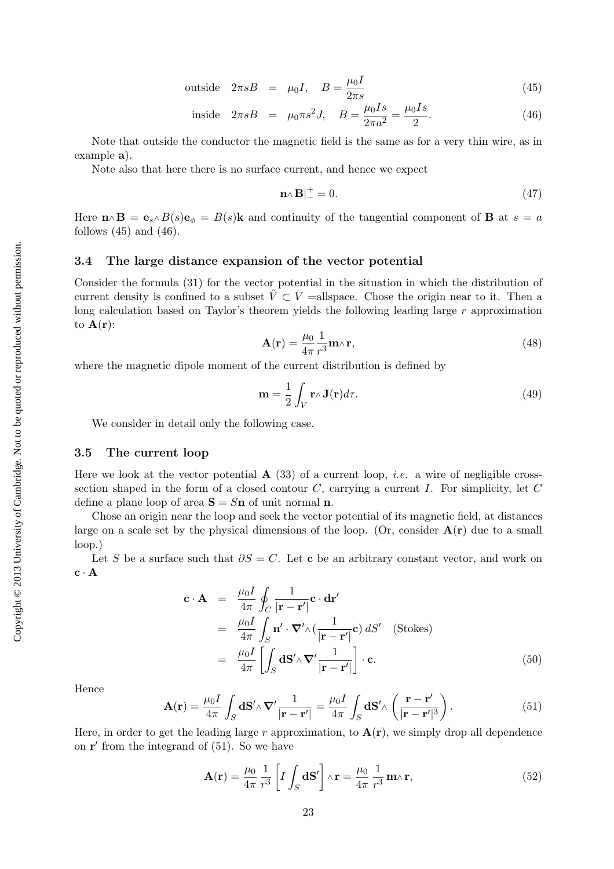outside 
$$
2\pi sB = \mu_0 I
$$
,  $B = \frac{\mu_0 I}{2\pi s}$  (45)

inside 
$$
2\pi sB = \mu_0 \pi s^2 J
$$
,  $B = \frac{\mu_0 I s}{2\pi a^2} = \frac{\mu_0 I s}{2}$ . (46)

Note that outside the conductor the magnetic field is the same as for a very thin wire, as in example a).

Note also that here there is no surface current, and hence we expect

$$
\mathbf{n}_{\wedge}\mathbf{B}|_{-}^{+} = 0. \tag{47}
$$

Here  $\mathbf{n} \wedge \mathbf{B} = \mathbf{e}_s \wedge B(s) \mathbf{e}_{\phi} = B(s) \mathbf{k}$  and continuity of the tangential component of **B** at  $s = a$ follows  $(45)$  and  $(46)$ .

#### 3.4 The large distance expansion of the vector potential

Consider the formula (31) for the vector potential in the situation in which the distribution of current density is confined to a subset  $\hat{V} \subset V$  =allspace. Chose the origin near to it. Then a long calculation based on Taylor's theorem yields the following leading large r approximation to  $\mathbf{A}(\mathbf{r})$ :

$$
\mathbf{A}(\mathbf{r}) = \frac{\mu_0}{4\pi} \frac{1}{r^3} \mathbf{m} \wedge \mathbf{r},\tag{48}
$$

where the magnetic dipole moment of the current distribution is defined by

$$
\mathbf{m} = \frac{1}{2} \int_{V} \mathbf{r} \wedge \mathbf{J}(\mathbf{r}) d\tau.
$$
 (49)

We consider in detail only the following case.

#### 3.5 The current loop

Here we look at the vector potential  $\mathbf{A}$  (33) of a current loop, *i.e.* a wire of negligible crosssection shaped in the form of a closed contour  $C$ , carrying a current  $I$ . For simplicity, let  $C$ define a plane loop of area  $S = Sn$  of unit normal n.

Chose an origin near the loop and seek the vector potential of its magnetic field, at distances large on a scale set by the physical dimensions of the loop. (Or, consider  $A(r)$  due to a small loop.)

Let S be a surface such that  $\partial S = C$ . Let c be an arbitrary constant vector, and work on  $c \cdot A$ 

$$
\mathbf{c} \cdot \mathbf{A} = \frac{\mu_0 I}{4\pi} \oint_C \frac{1}{|\mathbf{r} - \mathbf{r}'|} \mathbf{c} \cdot \mathbf{dr}'
$$
  
\n
$$
= \frac{\mu_0 I}{4\pi} \int_S \mathbf{n}' \cdot \nabla' \wedge (\frac{1}{|\mathbf{r} - \mathbf{r}'|} \mathbf{c}) dS' \quad \text{(Stokes)}
$$
  
\n
$$
= \frac{\mu_0 I}{4\pi} \left[ \int_S \mathbf{dS}' \wedge \nabla' \frac{1}{|\mathbf{r} - \mathbf{r}'|} \right] \cdot \mathbf{c}.
$$
 (50)

Hence

$$
\mathbf{A}(\mathbf{r}) = \frac{\mu_0 I}{4\pi} \int_S \mathbf{dS}' \wedge \mathbf{\nabla}' \frac{1}{|\mathbf{r} - \mathbf{r}'|} = \frac{\mu_0 I}{4\pi} \int_S \mathbf{dS}' \wedge \left(\frac{\mathbf{r} - \mathbf{r}'}{|\mathbf{r} - \mathbf{r}'|^3}\right).
$$
(51)

Here, in order to get the leading large r approximation, to  $A(r)$ , we simply drop all dependence on  $\mathbf{r}'$  from the integrand of  $(51)$ . So we have

$$
\mathbf{A}(\mathbf{r}) = \frac{\mu_0}{4\pi} \frac{1}{r^3} \left[ I \int_S \mathbf{dS}' \right] \wedge \mathbf{r} = \frac{\mu_0}{4\pi} \frac{1}{r^3} \mathbf{m} \wedge \mathbf{r},\tag{52}
$$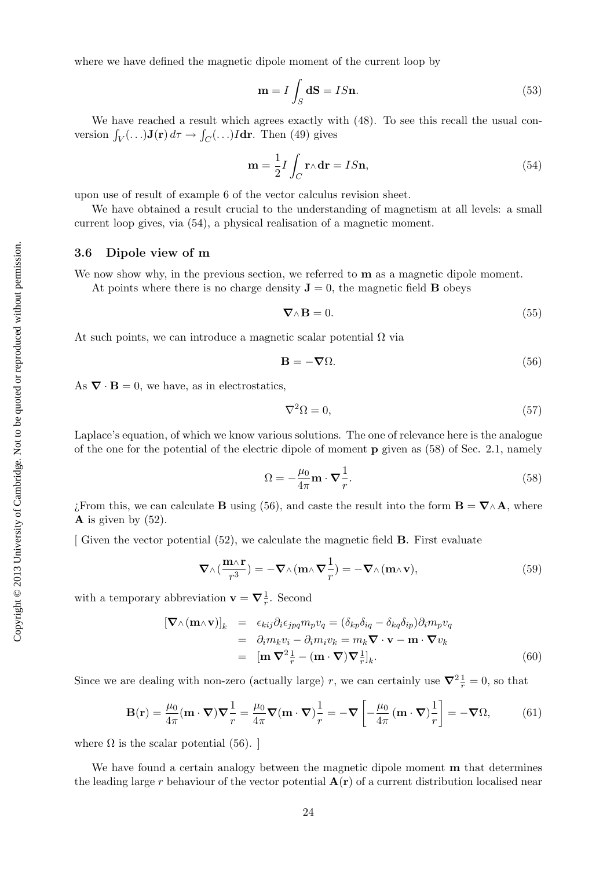Copyright  $@$  2013 University of Cambridge. Not to be quoted or reproduced without permission. Copyright © 2013 University of Cambridge. Not to be quoted or reproduced without permission. where we have defined the magnetic dipole moment of the current loop by

$$
\mathbf{m} = I \int_{S} \mathbf{dS} = IS\mathbf{n}.\tag{53}
$$

We have reached a result which agrees exactly with  $(48)$ . To see this recall the usual conversion  $\int_V (\ldots) \mathbf{J}(\mathbf{r}) d\tau \to \int_C (\ldots) I d\mathbf{r}$ . Then (49) gives

$$
\mathbf{m} = \frac{1}{2} I \int_C \mathbf{r} \wedge \mathbf{dr} = I S \mathbf{n},\tag{54}
$$

upon use of result of example 6 of the vector calculus revision sheet.

We have obtained a result crucial to the understanding of magnetism at all levels: a small current loop gives, via (54), a physical realisation of a magnetic moment.

# 3.6 Dipole view of m

We now show why, in the previous section, we referred to  **as a magnetic dipole moment.** 

At points where there is no charge density  $\mathbf{J} = 0$ , the magnetic field **B** obeys

$$
\nabla \wedge \mathbf{B} = 0. \tag{55}
$$

At such points, we can introduce a magnetic scalar potential  $\Omega$  via

$$
\mathbf{B} = -\nabla\Omega.\tag{56}
$$

As  $\nabla \cdot \mathbf{B} = 0$ , we have, as in electrostatics,

$$
\nabla^2 \Omega = 0,\tag{57}
$$

Laplace's equation, of which we know various solutions. The one of relevance here is the analogue of the one for the potential of the electric dipole of moment  $\bf{p}$  given as (58) of Sec. 2.1, namely

$$
\Omega = -\frac{\mu_0}{4\pi} \mathbf{m} \cdot \nabla \frac{1}{r}.
$$
\n(58)

; From this, we can calculate **B** using (56), and caste the result into the form  $\mathbf{B} = \nabla \wedge \mathbf{A}$ , where  $\bf{A}$  is given by (52).

[ Given the vector potential (52), we calculate the magnetic field B. First evaluate

$$
\nabla \wedge \left(\frac{\mathbf{m}\wedge\mathbf{r}}{r^3}\right) = -\nabla \wedge \left(\mathbf{m}\wedge\nabla\frac{1}{r}\right) = -\nabla \wedge \left(\mathbf{m}\wedge\mathbf{v}\right),\tag{59}
$$

with a temporary abbreviation  $\mathbf{v} = \nabla \frac{1}{r}$ . Second

$$
[\nabla \wedge (\mathbf{m} \wedge \mathbf{v})]_k = \epsilon_{kij} \partial_i \epsilon_{jpq} m_p v_q = (\delta_{kp} \delta_{iq} - \delta_{kq} \delta_{ip}) \partial_i m_p v_q
$$
  
\n
$$
= \partial_i m_k v_i - \partial_i m_i v_k = m_k \nabla \cdot \mathbf{v} - \mathbf{m} \cdot \nabla v_k
$$
  
\n
$$
= [\mathbf{m} \nabla^2 \frac{1}{r} - (\mathbf{m} \cdot \nabla) \nabla \frac{1}{r}]_k.
$$
 (60)

Since we are dealing with non-zero (actually large) r, we can certainly use  $\nabla^2 \frac{1}{r} = 0$ , so that

$$
\mathbf{B}(\mathbf{r}) = \frac{\mu_0}{4\pi} (\mathbf{m} \cdot \nabla) \nabla \frac{1}{r} = \frac{\mu_0}{4\pi} \nabla (\mathbf{m} \cdot \nabla) \frac{1}{r} = -\nabla \left[ -\frac{\mu_0}{4\pi} (\mathbf{m} \cdot \nabla) \frac{1}{r} \right] = -\nabla \Omega, \quad (61)
$$

where  $\Omega$  is the scalar potential (56).

We have found a certain analogy between the magnetic dipole moment **m** that determines the leading large r behaviour of the vector potential  $A(r)$  of a current distribution localised near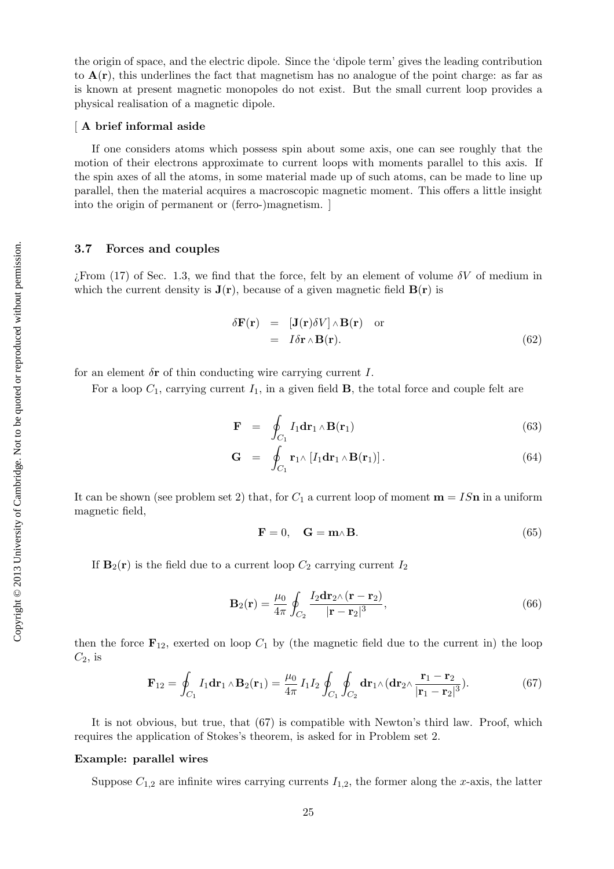#### [ A brief informal aside

If one considers atoms which possess spin about some axis, one can see roughly that the motion of their electrons approximate to current loops with moments parallel to this axis. If the spin axes of all the atoms, in some material made up of such atoms, can be made to line up parallel, then the material acquires a macroscopic magnetic moment. This offers a little insight into the origin of permanent or (ferro-)magnetism. ]

#### 3.7 Forces and couples

 $i$ From (17) of Sec. 1.3, we find that the force, felt by an element of volume  $\delta V$  of medium in which the current density is  $J(r)$ , because of a given magnetic field  $B(r)$  is

$$
\delta \mathbf{F}(\mathbf{r}) = [\mathbf{J}(\mathbf{r}) \delta V] \wedge \mathbf{B}(\mathbf{r}) \text{ or } \n= I \delta \mathbf{r} \wedge \mathbf{B}(\mathbf{r}). \tag{62}
$$

for an element  $\delta r$  of thin conducting wire carrying current I.

For a loop  $C_1$ , carrying current  $I_1$ , in a given field **B**, the total force and couple felt are

$$
\mathbf{F} = \oint_{C_1} I_1 \mathbf{dr}_1 \wedge \mathbf{B}(\mathbf{r}_1) \tag{63}
$$

$$
\mathbf{G} = \oint_{C_1} \mathbf{r}_1 \wedge [I_1 \mathbf{dr}_1 \wedge \mathbf{B}(\mathbf{r}_1)]. \tag{64}
$$

It can be shown (see problem set 2) that, for  $C_1$  a current loop of moment  $\mathbf{m} = IS\mathbf{n}$  in a uniform magnetic field,

$$
\mathbf{F} = 0, \quad \mathbf{G} = \mathbf{m} \wedge \mathbf{B}.\tag{65}
$$

If  $\mathbf{B}_2(\mathbf{r})$  is the field due to a current loop  $C_2$  carrying current  $I_2$ 

$$
\mathbf{B}_2(\mathbf{r}) = \frac{\mu_0}{4\pi} \oint_{C_2} \frac{I_2 \mathbf{dr}_2 \wedge (\mathbf{r} - \mathbf{r}_2)}{|\mathbf{r} - \mathbf{r}_2|^3},\tag{66}
$$

then the force  $\mathbf{F}_{12}$ , exerted on loop  $C_1$  by (the magnetic field due to the current in) the loop  $C_2$ , is

$$
\mathbf{F}_{12} = \oint_{C_1} I_1 \mathbf{dr}_1 \wedge \mathbf{B}_2(\mathbf{r}_1) = \frac{\mu_0}{4\pi} I_1 I_2 \oint_{C_1} \oint_{C_2} \mathbf{dr}_1 \wedge (\mathbf{dr}_2 \wedge \frac{\mathbf{r}_1 - \mathbf{r}_2}{|\mathbf{r}_1 - \mathbf{r}_2|^3}). \tag{67}
$$

It is not obvious, but true, that (67) is compatible with Newton's third law. Proof, which requires the application of Stokes's theorem, is asked for in Problem set 2.

#### Example: parallel wires

Suppose  $C_{1,2}$  are infinite wires carrying currents  $I_{1,2}$ , the former along the x-axis, the latter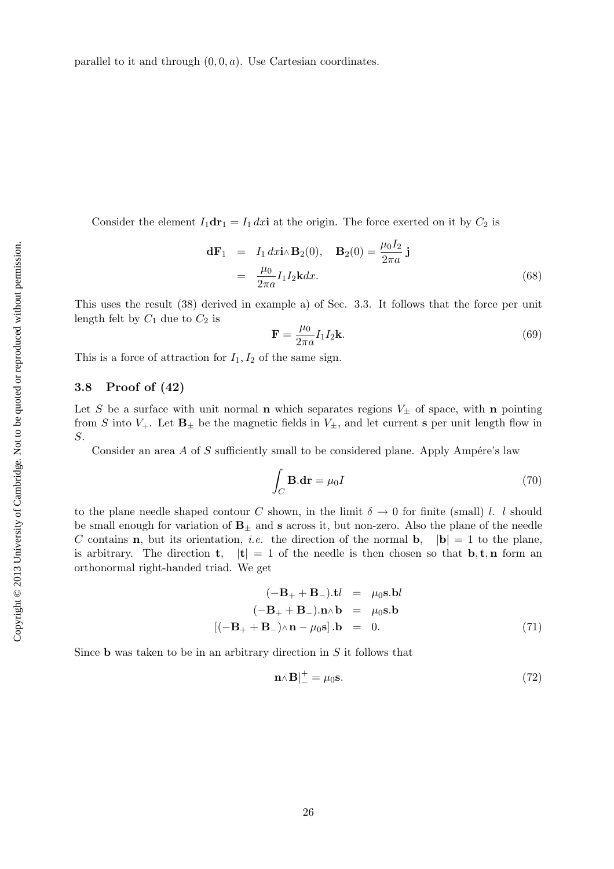Consider the element  $I_1$ dr<sub>1</sub> =  $I_1 dx$ **i** at the origin. The force exerted on it by  $C_2$  is

$$
\mathbf{d}\mathbf{F}_1 = I_1 dx \mathbf{i} \wedge \mathbf{B}_2(0), \quad \mathbf{B}_2(0) = \frac{\mu_0 I_2}{2\pi a} \mathbf{j}
$$

$$
= \frac{\mu_0}{2\pi a} I_1 I_2 \mathbf{k} dx.
$$
(68)

This uses the result (38) derived in example a) of Sec. 3.3. It follows that the force per unit length felt by  $C_1$  due to  $C_2$  is

$$
\mathbf{F} = \frac{\mu_0}{2\pi a} I_1 I_2 \mathbf{k}.\tag{69}
$$

This is a force of attraction for  $I_1, I_2$  of the same sign.

#### 3.8 Proof of (42)

Let S be a surface with unit normal **n** which separates regions  $V_{\pm}$  of space, with **n** pointing from S into  $V_+$ . Let  $\mathbf{B}_{\pm}$  be the magnetic fields in  $V_{\pm}$ , and let current s per unit length flow in S.

Consider an area A of S sufficiently small to be considered plane. Apply Ampére's law

$$
\int_C \mathbf{B}.\mathbf{dr} = \mu_0 I \tag{70}
$$

to the plane needle shaped contour C shown, in the limit  $\delta \to 0$  for finite (small) l. l should be small enough for variation of  $\mathbf{B}_+$  and s across it, but non-zero. Also the plane of the needle C contains **n**, but its orientation, *i.e.* the direction of the normal **b**,  $|\mathbf{b}| = 1$  to the plane, is arbitrary. The direction **t**,  $|\mathbf{t}| = 1$  of the needle is then chosen so that **b**, **t**, **n** form an orthonormal right-handed triad. We get

$$
(-\mathbf{B}_{+} + \mathbf{B}_{-}).\mathbf{t}l = \mu_{0}\mathbf{s}.\mathbf{b}l
$$
  
\n
$$
(-\mathbf{B}_{+} + \mathbf{B}_{-}).\mathbf{n} \wedge \mathbf{b} = \mu_{0}\mathbf{s}.\mathbf{b}
$$
  
\n
$$
[(-\mathbf{B}_{+} + \mathbf{B}_{-}) \wedge \mathbf{n} - \mu_{0}\mathbf{s}].\mathbf{b} = 0.
$$
 (71)

Since **b** was taken to be in an arbitrary direction in  $S$  it follows that

$$
\mathbf{n} \wedge \mathbf{B} \vert_{-}^{+} = \mu_0 \mathbf{s}.\tag{72}
$$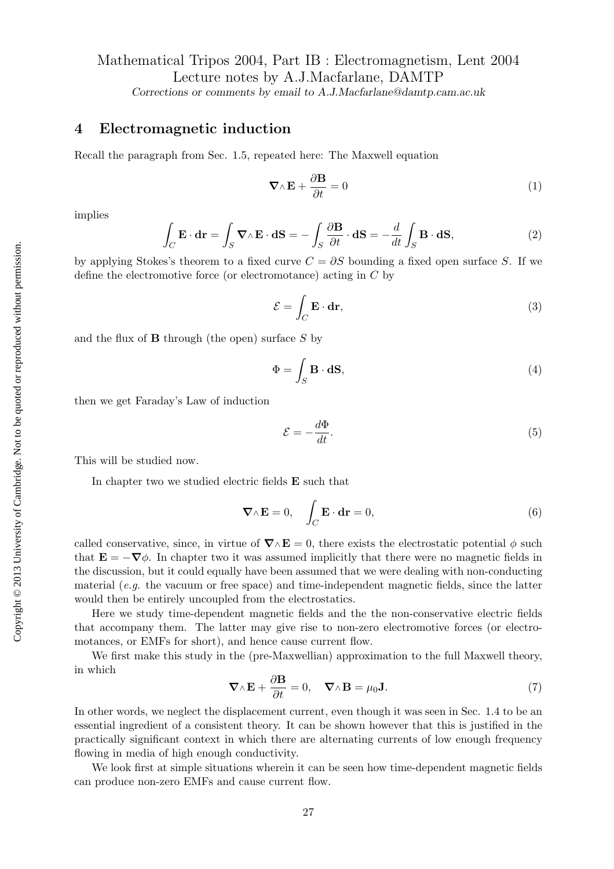# Mathematical Tripos 2004, Part IB : Electromagnetism, Lent 2004 Lecture notes by A.J.Macfarlane, DAMTP

Corrections or comments by email to A.J.Macfarlane@damtp.cam.ac.uk

# 4 Electromagnetic induction

Recall the paragraph from Sec. 1.5, repeated here: The Maxwell equation

$$
\nabla \wedge \mathbf{E} + \frac{\partial \mathbf{B}}{\partial t} = 0 \tag{1}
$$

implies

$$
\int_C \mathbf{E} \cdot d\mathbf{r} = \int_S \mathbf{\nabla} \wedge \mathbf{E} \cdot d\mathbf{S} = -\int_S \frac{\partial \mathbf{B}}{\partial t} \cdot d\mathbf{S} = -\frac{d}{dt} \int_S \mathbf{B} \cdot d\mathbf{S},\tag{2}
$$

by applying Stokes's theorem to a fixed curve  $C = \partial S$  bounding a fixed open surface S. If we define the electromotive force (or electromotance) acting in C by

$$
\mathcal{E} = \int_C \mathbf{E} \cdot \mathbf{dr},\tag{3}
$$

and the flux of  $\bf{B}$  through (the open) surface  $S$  by

$$
\Phi = \int_{S} \mathbf{B} \cdot \mathbf{dS},\tag{4}
$$

then we get Faraday's Law of induction

$$
\mathcal{E} = -\frac{d\Phi}{dt}.\tag{5}
$$

This will be studied now.

In chapter two we studied electric fields E such that

$$
\nabla \wedge \mathbf{E} = 0, \quad \int_C \mathbf{E} \cdot \mathbf{dr} = 0,
$$
\n(6)

called conservative, since, in virtue of  $\nabla \wedge \mathbf{E} = 0$ , there exists the electrostatic potential  $\phi$  such that  $\mathbf{E} = -\nabla \phi$ . In chapter two it was assumed implicitly that there were no magnetic fields in the discussion, but it could equally have been assumed that we were dealing with non-conducting material  $(e.g.$  the vacuum or free space) and time-independent magnetic fields, since the latter would then be entirely uncoupled from the electrostatics.

Here we study time-dependent magnetic fields and the the non-conservative electric fields that accompany them. The latter may give rise to non-zero electromotive forces (or electromotances, or EMFs for short), and hence cause current flow.

We first make this study in the (pre-Maxwellian) approximation to the full Maxwell theory, in which

$$
\nabla \wedge \mathbf{E} + \frac{\partial \mathbf{B}}{\partial t} = 0, \quad \nabla \wedge \mathbf{B} = \mu_0 \mathbf{J}.
$$
 (7)

In other words, we neglect the displacement current, even though it was seen in Sec. 1.4 to be an essential ingredient of a consistent theory. It can be shown however that this is justified in the practically significant context in which there are alternating currents of low enough frequency flowing in media of high enough conductivity.

We look first at simple situations wherein it can be seen how time-dependent magnetic fields can produce non-zero EMFs and cause current flow.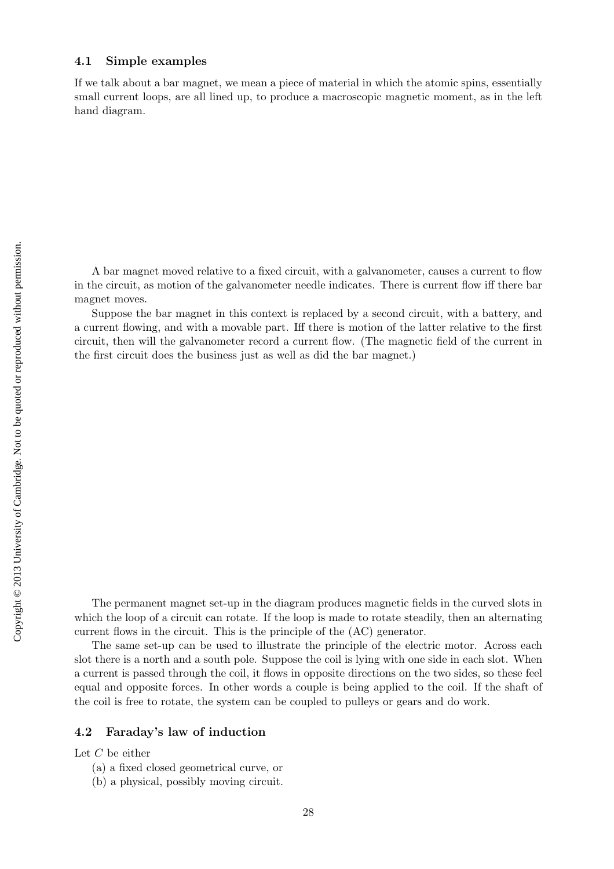### 4.1 Simple examples

If we talk about a bar magnet, we mean a piece of material in which the atomic spins, essentially small current loops, are all lined up, to produce a macroscopic magnetic moment, as in the left hand diagram.

A bar magnet moved relative to a fixed circuit, with a galvanometer, causes a current to flow in the circuit, as motion of the galvanometer needle indicates. There is current flow iff there bar magnet moves.

Suppose the bar magnet in this context is replaced by a second circuit, with a battery, and a current flowing, and with a movable part. Iff there is motion of the latter relative to the first circuit, then will the galvanometer record a current flow. (The magnetic field of the current in the first circuit does the business just as well as did the bar magnet.)

The permanent magnet set-up in the diagram produces magnetic fields in the curved slots in which the loop of a circuit can rotate. If the loop is made to rotate steadily, then an alternating current flows in the circuit. This is the principle of the (AC) generator.

The same set-up can be used to illustrate the principle of the electric motor. Across each slot there is a north and a south pole. Suppose the coil is lying with one side in each slot. When a current is passed through the coil, it flows in opposite directions on the two sides, so these feel equal and opposite forces. In other words a couple is being applied to the coil. If the shaft of the coil is free to rotate, the system can be coupled to pulleys or gears and do work.

#### 4.2 Faraday's law of induction

Let  $C$  be either

- (a) a fixed closed geometrical curve, or
- (b) a physical, possibly moving circuit.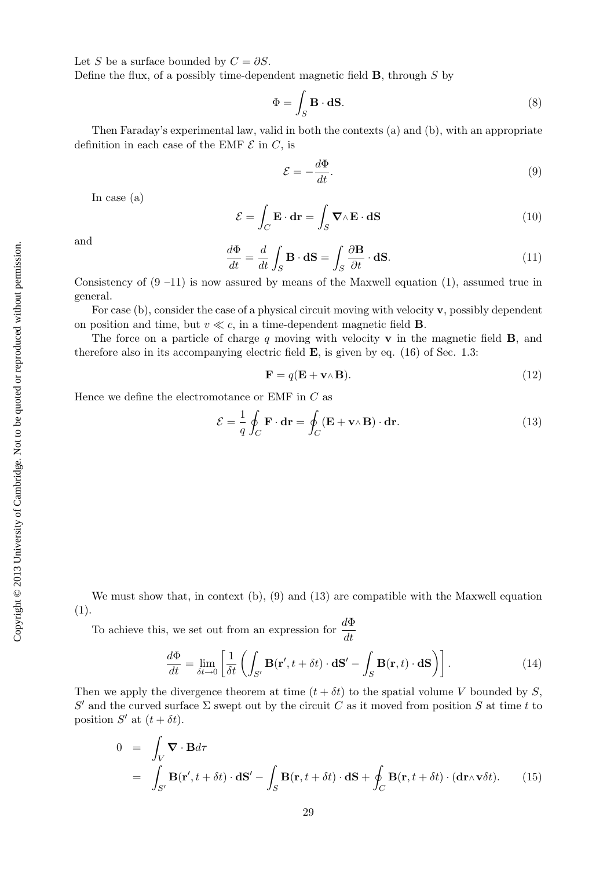Let S be a surface bounded by  $C = \partial S$ .

Define the flux, of a possibly time-dependent magnetic field  $\bf{B}$ , through  $S$  by

$$
\Phi = \int_{S} \mathbf{B} \cdot \mathbf{dS}.\tag{8}
$$

Then Faraday's experimental law, valid in both the contexts (a) and (b), with an appropriate definition in each case of the EMF  $\mathcal E$  in  $C$ , is

$$
\mathcal{E} = -\frac{d\Phi}{dt}.\tag{9}
$$

In case (a)

$$
\mathcal{E} = \int_C \mathbf{E} \cdot \mathbf{dr} = \int_S \mathbf{\nabla} \wedge \mathbf{E} \cdot \mathbf{dS}
$$
 (10)

and

$$
\frac{d\Phi}{dt} = \frac{d}{dt} \int_{S} \mathbf{B} \cdot \mathbf{dS} = \int_{S} \frac{\partial \mathbf{B}}{\partial t} \cdot \mathbf{dS}.
$$
 (11)

Consistency of  $(9 -11)$  is now assured by means of the Maxwell equation  $(1)$ , assumed true in general.

For case (b), consider the case of a physical circuit moving with velocity  $\bf{v}$ , possibly dependent on position and time, but  $v \ll c$ , in a time-dependent magnetic field **B**.

The force on a particle of charge q moving with velocity  $\bf{v}$  in the magnetic field  $\bf{B}$ , and therefore also in its accompanying electric field  $\bf{E}$ , is given by eq. (16) of Sec. 1.3:

$$
\mathbf{F} = q(\mathbf{E} + \mathbf{v} \wedge \mathbf{B}).\tag{12}
$$

Hence we define the electromotance or EMF in  $C$  as

$$
\mathcal{E} = \frac{1}{q} \oint_C \mathbf{F} \cdot \mathbf{dr} = \oint_C (\mathbf{E} + \mathbf{v} \wedge \mathbf{B}) \cdot \mathbf{dr}.
$$
 (13)

We must show that, in context  $(b)$ ,  $(9)$  and  $(13)$  are compatible with the Maxwell equation (1).

To achieve this, we set out from an expression for  $\frac{d\Phi}{dt}$ 

$$
\frac{d\Phi}{dt} = \lim_{\delta t \to 0} \left[ \frac{1}{\delta t} \left( \int_{S'} \mathbf{B}(\mathbf{r}', t + \delta t) \cdot \mathbf{dS}' - \int_{S} \mathbf{B}(\mathbf{r}, t) \cdot \mathbf{dS} \right) \right].
$$
 (14)

Then we apply the divergence theorem at time  $(t + \delta t)$  to the spatial volume V bounded by S, S' and the curved surface  $\Sigma$  swept out by the circuit  $\overrightarrow{C}$  as it moved from position S at time t to position  $S'$  at  $(t + \delta t)$ .

$$
0 = \int_{V} \mathbf{\nabla} \cdot \mathbf{B} d\tau
$$
  
= 
$$
\int_{S'} \mathbf{B}(\mathbf{r}', t + \delta t) \cdot d\mathbf{S}' - \int_{S} \mathbf{B}(\mathbf{r}, t + \delta t) \cdot d\mathbf{S} + \oint_{C} \mathbf{B}(\mathbf{r}, t + \delta t) \cdot (d\mathbf{r} \wedge \mathbf{v} \delta t).
$$
 (15)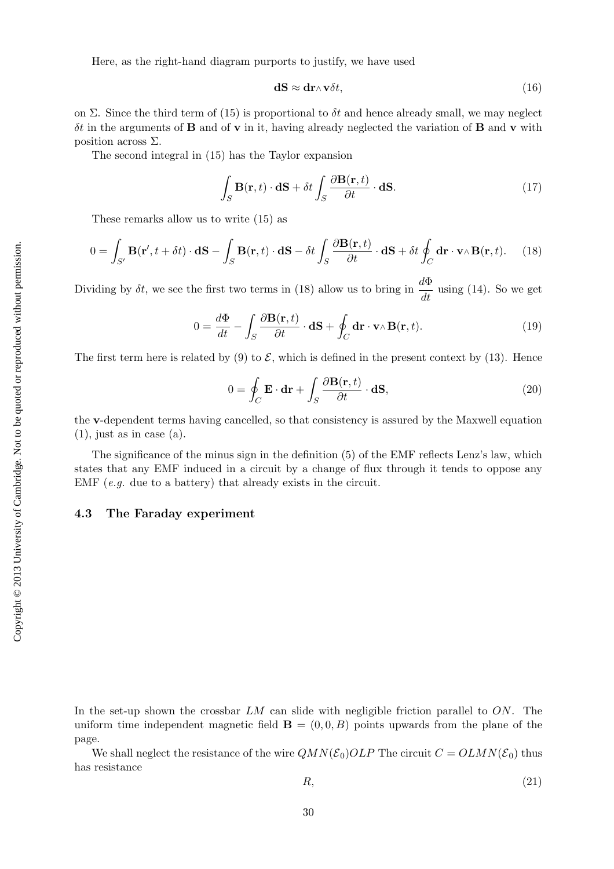Here, as the right-hand diagram purports to justify, we have used

$$
\mathbf{dS} \approx \mathbf{dr} \wedge \mathbf{v} \delta t,\tag{16}
$$

on Σ. Since the third term of (15) is proportional to  $\delta t$  and hence already small, we may neglect  $\delta t$  in the arguments of **B** and of **v** in it, having already neglected the variation of **B** and **v** with position across  $\Sigma$ .

The second integral in (15) has the Taylor expansion

$$
\int_{S} \mathbf{B}(\mathbf{r},t) \cdot d\mathbf{S} + \delta t \int_{S} \frac{\partial \mathbf{B}(\mathbf{r},t)}{\partial t} \cdot d\mathbf{S}.
$$
\n(17)

These remarks allow us to write (15) as

$$
0 = \int_{S'} \mathbf{B}(\mathbf{r}', t + \delta t) \cdot d\mathbf{S} - \int_{S} \mathbf{B}(\mathbf{r}, t) \cdot d\mathbf{S} - \delta t \int_{S} \frac{\partial \mathbf{B}(\mathbf{r}, t)}{\partial t} \cdot d\mathbf{S} + \delta t \oint_{C} d\mathbf{r} \cdot \mathbf{v} \wedge \mathbf{B}(\mathbf{r}, t).
$$
 (18)

Dividing by  $\delta t$ , we see the first two terms in (18) allow us to bring in  $\frac{d\Phi}{dt}$  using (14). So we get

$$
0 = \frac{d\Phi}{dt} - \int_{S} \frac{\partial \mathbf{B}(\mathbf{r}, t)}{\partial t} \cdot d\mathbf{S} + \oint_{C} \mathbf{dr} \cdot \mathbf{v} \wedge \mathbf{B}(\mathbf{r}, t).
$$
 (19)

The first term here is related by (9) to  $\mathcal{E}$ , which is defined in the present context by (13). Hence

$$
0 = \oint_C \mathbf{E} \cdot \mathbf{dr} + \int_S \frac{\partial \mathbf{B}(\mathbf{r}, t)}{\partial t} \cdot \mathbf{dS},
$$
\n(20)

the v-dependent terms having cancelled, so that consistency is assured by the Maxwell equation  $(1)$ , just as in case  $(a)$ .

The significance of the minus sign in the definition (5) of the EMF reflects Lenz's law, which states that any EMF induced in a circuit by a change of flux through it tends to oppose any EMF  $(e,q.$  due to a battery) that already exists in the circuit.

# 4.3 The Faraday experiment

In the set-up shown the crossbar  $LM$  can slide with negligible friction parallel to  $ON$ . The uniform time independent magnetic field  $\mathbf{B} = (0, 0, B)$  points upwards from the plane of the page.

We shall neglect the resistance of the wire  $QMN(\mathcal{E}_0)OLP$  The circuit  $C = OLMN(\mathcal{E}_0)$  thus has resistance

$$
R, \tag{21}
$$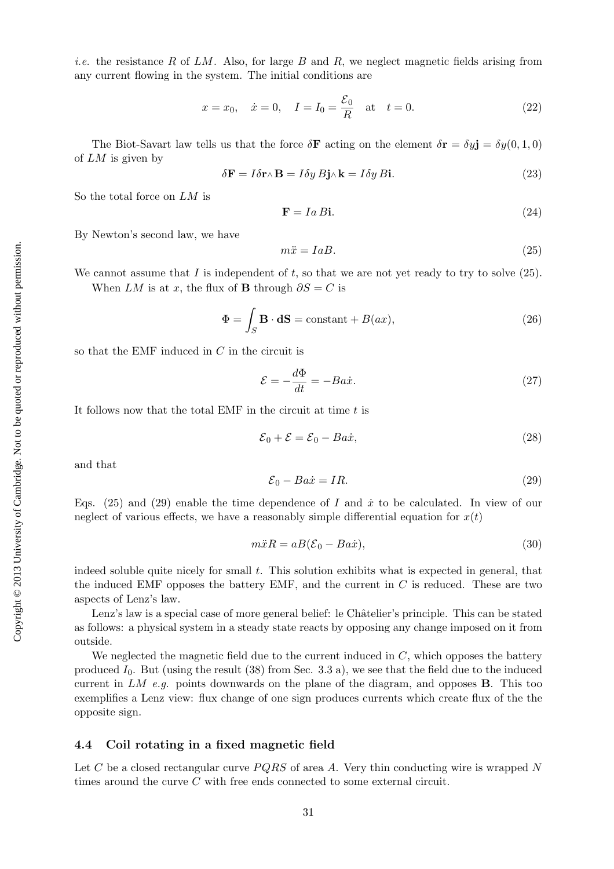*i.e.* the resistance R of  $LM$ . Also, for large B and R, we neglect magnetic fields arising from any current flowing in the system. The initial conditions are

$$
x = x_0
$$
,  $\dot{x} = 0$ ,  $I = I_0 = \frac{\mathcal{E}_0}{R}$  at  $t = 0$ . (22)

The Biot-Savart law tells us that the force  $\delta \mathbf{F}$  acting on the element  $\delta \mathbf{r} = \delta y \mathbf{j} = \delta y(0, 1, 0)$ of LM is given by

$$
\delta \mathbf{F} = I \delta \mathbf{r} \wedge \mathbf{B} = I \delta y B \mathbf{j} \wedge \mathbf{k} = I \delta y B \mathbf{i}.\tag{23}
$$

So the total force on LM is

$$
\mathbf{F} = Ia \, B\mathbf{i}.\tag{24}
$$

By Newton's second law, we have

$$
m\ddot{x} = IaB. \tag{25}
$$

We cannot assume that  $I$  is independent of  $t$ , so that we are not yet ready to try to solve (25). When LM is at x, the flux of **B** through  $\partial S = C$  is

$$
\Phi = \int_{S} \mathbf{B} \cdot \mathbf{dS} = \text{constant} + B(ax),\tag{26}
$$

so that the EMF induced in  $C$  in the circuit is

$$
\mathcal{E} = -\frac{d\Phi}{dt} = -Ba\dot{x}.\tag{27}
$$

It follows now that the total EMF in the circuit at time t is

$$
\mathcal{E}_0 + \mathcal{E} = \mathcal{E}_0 - Ba\dot{x},\tag{28}
$$

and that

$$
\mathcal{E}_0 - Ba\dot{x} = IR.\tag{29}
$$

Eqs.  $(25)$  and  $(29)$  enable the time dependence of I and  $\dot{x}$  to be calculated. In view of our neglect of various effects, we have a reasonably simple differential equation for  $x(t)$ 

$$
m\ddot{x}R = aB(\mathcal{E}_0 - Ba\dot{x}),\tag{30}
$$

indeed soluble quite nicely for small  $t$ . This solution exhibits what is expected in general, that the induced EMF opposes the battery EMF, and the current in  $C$  is reduced. These are two aspects of Lenz's law.

Lenz's law is a special case of more general belief: le Châtelier's principle. This can be stated as follows: a physical system in a steady state reacts by opposing any change imposed on it from outside.

We neglected the magnetic field due to the current induced in  $C$ , which opposes the battery produced  $I_0$ . But (using the result (38) from Sec. 3.3 a), we see that the field due to the induced current in  $LM$  e.g. points downwards on the plane of the diagram, and opposes **B**. This too exemplifies a Lenz view: flux change of one sign produces currents which create flux of the the opposite sign.

#### 4.4 Coil rotating in a fixed magnetic field

Let C be a closed rectangular curve  $PQRS$  of area A. Very thin conducting wire is wrapped N times around the curve C with free ends connected to some external circuit.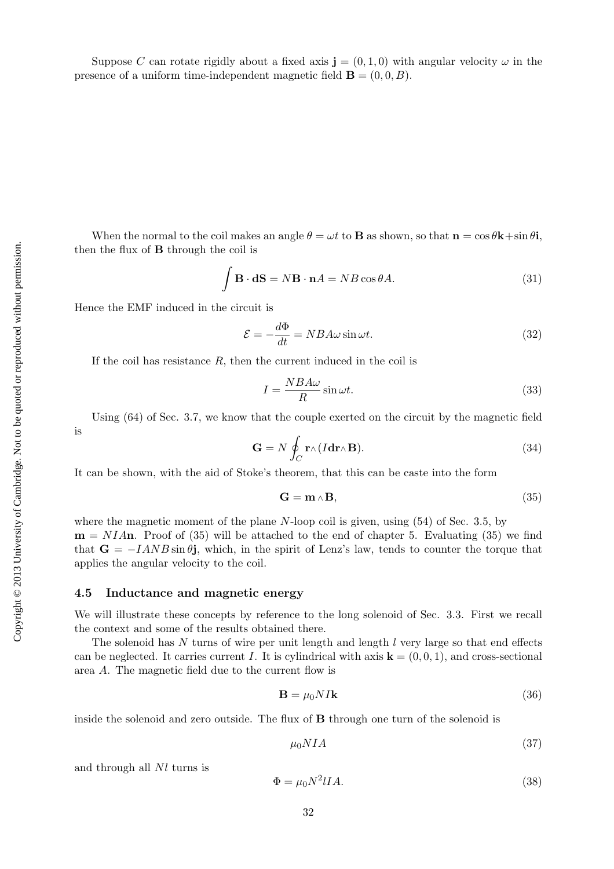Suppose C can rotate rigidly about a fixed axis  $\mathbf{j} = (0, 1, 0)$  with angular velocity  $\omega$  in the presence of a uniform time-independent magnetic field  $\mathbf{B} = (0, 0, B)$ .

When the normal to the coil makes an angle  $\theta = \omega t$  to **B** as shown, so that  $\mathbf{n} = \cos \theta \mathbf{k} + \sin \theta \mathbf{i}$ , then the flux of B through the coil is

$$
\int \mathbf{B} \cdot \mathbf{dS} = N\mathbf{B} \cdot \mathbf{n}A = NB\cos\theta A.
$$
 (31)

Hence the EMF induced in the circuit is

$$
\mathcal{E} = -\frac{d\Phi}{dt} = NBA\omega \sin \omega t.
$$
\n(32)

If the coil has resistance  $R$ , then the current induced in the coil is

$$
I = \frac{NBA\omega}{R} \sin \omega t.
$$
 (33)

Using (64) of Sec. 3.7, we know that the couple exerted on the circuit by the magnetic field is

$$
\mathbf{G} = N \oint_C \mathbf{r} \wedge (I \mathbf{dr} \wedge \mathbf{B}). \tag{34}
$$

It can be shown, with the aid of Stoke's theorem, that this can be caste into the form

$$
\mathbf{G} = \mathbf{m} \wedge \mathbf{B},\tag{35}
$$

where the magnetic moment of the plane N-loop coil is given, using  $(54)$  of Sec. 3.5, by  $m = NIAn$ . Proof of (35) will be attached to the end of chapter 5. Evaluating (35) we find that  $G = -IAND \sin \theta j$ , which, in the spirit of Lenz's law, tends to counter the torque that applies the angular velocity to the coil.

#### 4.5 Inductance and magnetic energy

We will illustrate these concepts by reference to the long solenoid of Sec. 3.3. First we recall the context and some of the results obtained there.

The solenoid has  $N$  turns of wire per unit length and length  $l$  very large so that end effects can be neglected. It carries current I. It is cylindrical with axis  $\mathbf{k} = (0, 0, 1)$ , and cross-sectional area A. The magnetic field due to the current flow is

$$
\mathbf{B} = \mu_0 N I \mathbf{k} \tag{36}
$$

inside the solenoid and zero outside. The flux of B through one turn of the solenoid is

$$
\mu_0 NIA \tag{37}
$$

and through all Nl turns is

$$
\Phi = \mu_0 N^2 IIA.
$$
\n(38)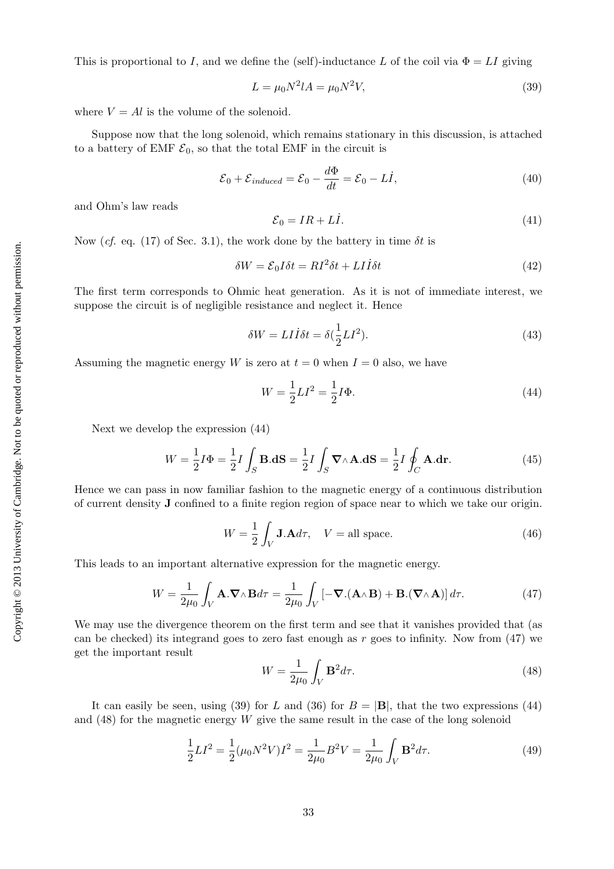This is proportional to I, and we define the (self)-inductance L of the coil via  $\Phi = LI$  giving

$$
L = \mu_0 N^2 l A = \mu_0 N^2 V,\tag{39}
$$

where  $V = Al$  is the volume of the solenoid.

Suppose now that the long solenoid, which remains stationary in this discussion, is attached to a battery of EMF  $\mathcal{E}_0$ , so that the total EMF in the circuit is

$$
\mathcal{E}_0 + \mathcal{E}_{induced} = \mathcal{E}_0 - \frac{d\Phi}{dt} = \mathcal{E}_0 - L\dot{I},\tag{40}
$$

and Ohm's law reads

$$
\mathcal{E}_0 = IR + L\dot{I}.\tag{41}
$$

Now (cf. eq. (17) of Sec. 3.1), the work done by the battery in time  $\delta t$  is

$$
\delta W = \mathcal{E}_0 I \delta t = RI^2 \delta t + LI\dot{I} \delta t \tag{42}
$$

The first term corresponds to Ohmic heat generation. As it is not of immediate interest, we suppose the circuit is of negligible resistance and neglect it. Hence

$$
\delta W = L I \dot{I} \delta t = \delta \left(\frac{1}{2} L I^2\right). \tag{43}
$$

Assuming the magnetic energy W is zero at  $t = 0$  when  $I = 0$  also, we have

$$
W = \frac{1}{2}LI^2 = \frac{1}{2}I\Phi.
$$
\n(44)

Next we develop the expression (44)

$$
W = \frac{1}{2}I\Phi = \frac{1}{2}I\int_{S} \mathbf{B}.\mathbf{dS} = \frac{1}{2}I\int_{S} \mathbf{\nabla} \wedge \mathbf{A}.\mathbf{dS} = \frac{1}{2}I\oint_{C} \mathbf{A}.\mathbf{dr}.
$$
 (45)

Hence we can pass in now familiar fashion to the magnetic energy of a continuous distribution of current density J confined to a finite region region of space near to which we take our origin.

$$
W = \frac{1}{2} \int_{V} \mathbf{J} \cdot \mathbf{A} d\tau, \quad V = \text{all space.}
$$
 (46)

This leads to an important alternative expression for the magnetic energy.

$$
W = \frac{1}{2\mu_0} \int_V \mathbf{A} \cdot \nabla \wedge \mathbf{B} d\tau = \frac{1}{2\mu_0} \int_V \left[ -\nabla \cdot (\mathbf{A} \wedge \mathbf{B}) + \mathbf{B} \cdot (\nabla \wedge \mathbf{A}) \right] d\tau.
$$
 (47)

We may use the divergence theorem on the first term and see that it vanishes provided that (as can be checked) its integrand goes to zero fast enough as r goes to infinity. Now from  $(47)$  we get the important result

$$
W = \frac{1}{2\mu_0} \int_V \mathbf{B}^2 d\tau.
$$
\n(48)

It can easily be seen, using (39) for L and (36) for  $B = |B|$ , that the two expressions (44) and  $(48)$  for the magnetic energy W give the same result in the case of the long solenoid

$$
\frac{1}{2}LI^2 = \frac{1}{2}(\mu_0 N^2 V)I^2 = \frac{1}{2\mu_0}B^2 V = \frac{1}{2\mu_0} \int_V \mathbf{B}^2 d\tau.
$$
 (49)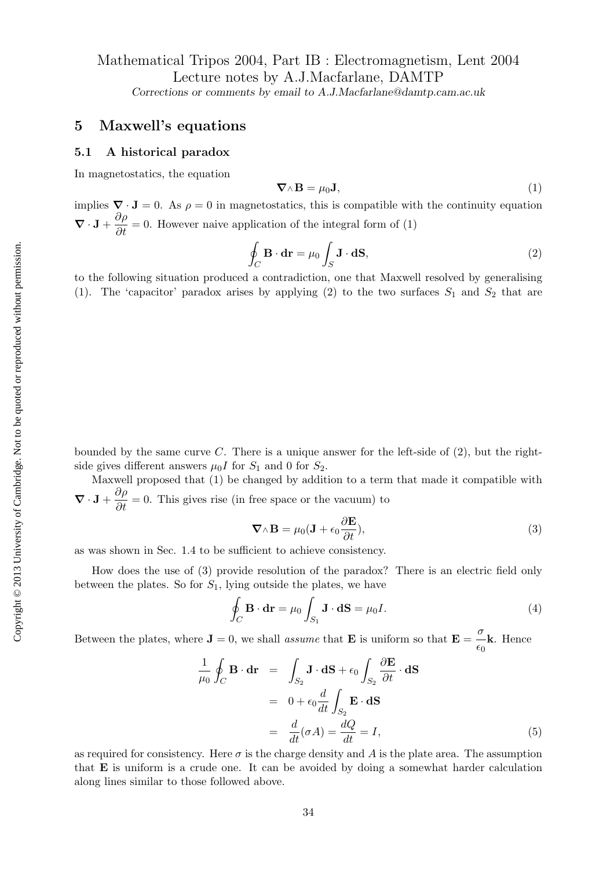# Mathematical Tripos 2004, Part IB : Electromagnetism, Lent 2004 Lecture notes by A.J.Macfarlane, DAMTP

Corrections or comments by email to A.J.Macfarlane@damtp.cam.ac.uk

# 5 Maxwell's equations

#### 5.1 A historical paradox

In magnetostatics, the equation

$$
\nabla \wedge \mathbf{B} = \mu_0 \mathbf{J},\tag{1}
$$

implies  $\nabla \cdot \mathbf{J} = 0$ . As  $\rho = 0$  in magnetostatics, this is compatible with the continuity equation  $\nabla \cdot \mathbf{J} + \frac{\partial \rho}{\partial t} = 0$ . However naive application of the integral form of (1)

$$
\oint_C \mathbf{B} \cdot \mathbf{dr} = \mu_0 \int_S \mathbf{J} \cdot \mathbf{dS},\tag{2}
$$

to the following situation produced a contradiction, one that Maxwell resolved by generalising (1). The 'capacitor' paradox arises by applying (2) to the two surfaces  $S_1$  and  $S_2$  that are

bounded by the same curve C. There is a unique answer for the left-side of  $(2)$ , but the rightside gives different answers  $\mu_0 I$  for  $S_1$  and 0 for  $S_2$ .

Maxwell proposed that (1) be changed by addition to a term that made it compatible with  $\nabla \cdot \mathbf{J} + \frac{\partial \rho}{\partial t} = 0$ . This gives rise (in free space or the vacuum) to

$$
\nabla \wedge \mathbf{B} = \mu_0 (\mathbf{J} + \epsilon_0 \frac{\partial \mathbf{E}}{\partial t}), \tag{3}
$$

as was shown in Sec. 1.4 to be sufficient to achieve consistency.

How does the use of (3) provide resolution of the paradox? There is an electric field only between the plates. So for  $S_1$ , lying outside the plates, we have

$$
\oint_C \mathbf{B} \cdot \mathbf{dr} = \mu_0 \int_{S_1} \mathbf{J} \cdot \mathbf{dS} = \mu_0 I.
$$
\n(4)

Between the plates, where  $\mathbf{J} = 0$ , we shall *assume* that  $\mathbf{E}$  is uniform so that  $\mathbf{E} = \frac{\sigma}{\sigma}$  $\frac{\epsilon}{\epsilon_0}$ **k**. Hence

$$
\frac{1}{\mu_0} \oint_C \mathbf{B} \cdot d\mathbf{r} = \int_{S_2} \mathbf{J} \cdot d\mathbf{S} + \epsilon_0 \int_{S_2} \frac{\partial \mathbf{E}}{\partial t} \cdot d\mathbf{S}
$$

$$
= 0 + \epsilon_0 \frac{d}{dt} \int_{S_2} \mathbf{E} \cdot d\mathbf{S}
$$

$$
= \frac{d}{dt} (\sigma A) = \frac{dQ}{dt} = I,
$$
(5)

as required for consistency. Here  $\sigma$  is the charge density and A is the plate area. The assumption that E is uniform is a crude one. It can be avoided by doing a somewhat harder calculation along lines similar to those followed above.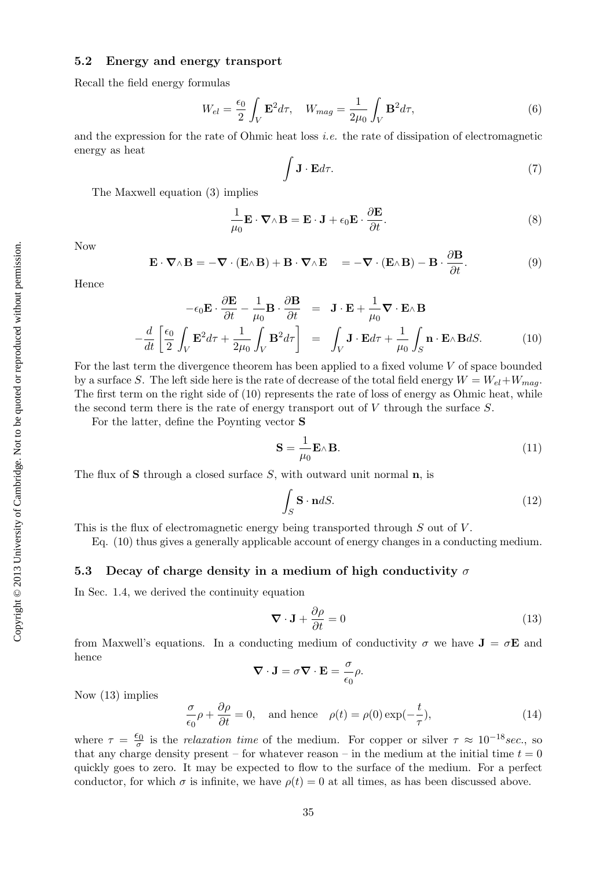# 5.2 Energy and energy transport

Recall the field energy formulas

$$
W_{el} = \frac{\epsilon_0}{2} \int_V \mathbf{E}^2 d\tau, \quad W_{mag} = \frac{1}{2\mu_0} \int_V \mathbf{B}^2 d\tau,\tag{6}
$$

and the expression for the rate of Ohmic heat loss *i.e.* the rate of dissipation of electromagnetic energy as heat

$$
\int \mathbf{J} \cdot \mathbf{E} d\tau. \tag{7}
$$

The Maxwell equation (3) implies

$$
\frac{1}{\mu_0} \mathbf{E} \cdot \nabla \wedge \mathbf{B} = \mathbf{E} \cdot \mathbf{J} + \epsilon_0 \mathbf{E} \cdot \frac{\partial \mathbf{E}}{\partial t}.
$$
\n(8)

Now

$$
\mathbf{E} \cdot \nabla \wedge \mathbf{B} = -\nabla \cdot (\mathbf{E} \wedge \mathbf{B}) + \mathbf{B} \cdot \nabla \wedge \mathbf{E} = -\nabla \cdot (\mathbf{E} \wedge \mathbf{B}) - \mathbf{B} \cdot \frac{\partial \mathbf{B}}{\partial t}.
$$
 (9)

Hence

$$
-\epsilon_0 \mathbf{E} \cdot \frac{\partial \mathbf{E}}{\partial t} - \frac{1}{\mu_0} \mathbf{B} \cdot \frac{\partial \mathbf{B}}{\partial t} = \mathbf{J} \cdot \mathbf{E} + \frac{1}{\mu_0} \nabla \cdot \mathbf{E} \wedge \mathbf{B}
$$

$$
-\frac{d}{dt} \left[ \frac{\epsilon_0}{2} \int_V \mathbf{E}^2 d\tau + \frac{1}{2\mu_0} \int_V \mathbf{B}^2 d\tau \right] = \int_V \mathbf{J} \cdot \mathbf{E} d\tau + \frac{1}{\mu_0} \int_S \mathbf{n} \cdot \mathbf{E} \wedge \mathbf{B} dS. \tag{10}
$$

For the last term the divergence theorem has been applied to a fixed volume  $V$  of space bounded by a surface S. The left side here is the rate of decrease of the total field energy  $W = W_{el} + W_{max}$ . The first term on the right side of (10) represents the rate of loss of energy as Ohmic heat, while the second term there is the rate of energy transport out of V through the surface S.

For the latter, define the Poynting vector S

$$
\mathbf{S} = \frac{1}{\mu_0} \mathbf{E} \wedge \mathbf{B}.\tag{11}
$$

The flux of S through a closed surface  $S$ , with outward unit normal  $n$ , is

$$
\int_{S} \mathbf{S} \cdot \mathbf{n} dS. \tag{12}
$$

This is the flux of electromagnetic energy being transported through  $S$  out of  $V$ .

Eq. (10) thus gives a generally applicable account of energy changes in a conducting medium.

#### 5.3 Decay of charge density in a medium of high conductivity  $\sigma$

In Sec. 1.4, we derived the continuity equation

$$
\nabla \cdot \mathbf{J} + \frac{\partial \rho}{\partial t} = 0 \tag{13}
$$

from Maxwell's equations. In a conducting medium of conductivity  $\sigma$  we have  $J = \sigma E$  and hence

$$
\nabla \cdot \mathbf{J} = \sigma \nabla \cdot \mathbf{E} = \frac{\sigma}{\epsilon_0} \rho.
$$

Now (13) implies

$$
\frac{\sigma}{\epsilon_0}\rho + \frac{\partial \rho}{\partial t} = 0, \text{ and hence } \rho(t) = \rho(0) \exp(-\frac{t}{\tau}), \qquad (14)
$$

where  $\tau = \frac{\epsilon_0}{\sigma}$  is the *relaxation time* of the medium. For copper or silver  $\tau \approx 10^{-18} sec$ , so that any charge density present – for whatever reason – in the medium at the initial time  $t = 0$ quickly goes to zero. It may be expected to flow to the surface of the medium. For a perfect conductor, for which  $\sigma$  is infinite, we have  $\rho(t) = 0$  at all times, as has been discussed above.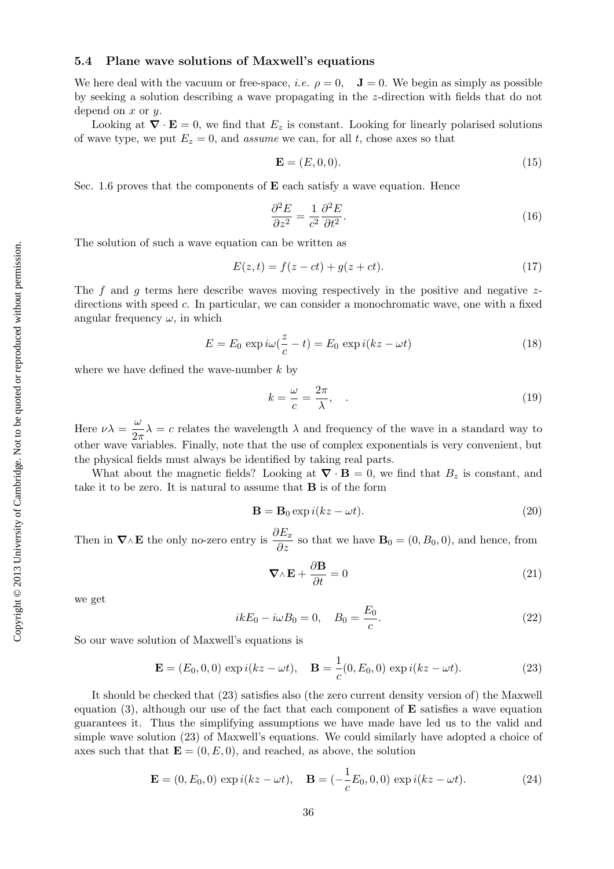# 5.4 Plane wave solutions of Maxwell's equations

We here deal with the vacuum or free-space, *i.e.*  $\rho = 0$ ,  $\mathbf{J} = 0$ . We begin as simply as possible by seeking a solution describing a wave propagating in the z-direction with fields that do not depend on  $x$  or  $y$ .

Looking at  $\nabla \cdot \mathbf{E} = 0$ , we find that  $E_z$  is constant. Looking for linearly polarised solutions of wave type, we put  $E_z = 0$ , and assume we can, for all t, chose axes so that

$$
\mathbf{E} = (E, 0, 0). \tag{15}
$$

Sec. 1.6 proves that the components of  $E$  each satisfy a wave equation. Hence

$$
\frac{\partial^2 E}{\partial z^2} = \frac{1}{c^2} \frac{\partial^2 E}{\partial t^2}.
$$
\n(16)

The solution of such a wave equation can be written as

$$
E(z,t) = f(z - ct) + g(z + ct).
$$
 (17)

The f and g terms here describe waves moving respectively in the positive and negative  $z$ directions with speed  $c$ . In particular, we can consider a monochromatic wave, one with a fixed angular frequency  $\omega$ , in which

$$
E = E_0 \exp i\omega(\frac{z}{c} - t) = E_0 \exp i(kz - \omega t)
$$
\n(18)

where we have defined the wave-number  $k$  by

$$
k = \frac{\omega}{c} = \frac{2\pi}{\lambda},\qquad(19)
$$

Here  $\nu\lambda = \frac{\omega}{2}$  $\frac{2\pi}{2\pi}\lambda = c$  relates the wavelength  $\lambda$  and frequency of the wave in a standard way to other wave variables. Finally, note that the use of complex exponentials is very convenient, but the physical fields must always be identified by taking real parts.

What about the magnetic fields? Looking at  $\nabla \cdot \mathbf{B} = 0$ , we find that  $B_z$  is constant, and take it to be zero. It is natural to assume that B is of the form

$$
\mathbf{B} = \mathbf{B}_0 \exp i(kz - \omega t). \tag{20}
$$

Then in  $\nabla \wedge \mathbf{E}$  the only no-zero entry is  $\frac{\partial E_x}{\partial z}$  so that we have  $\mathbf{B}_0 = (0, B_0, 0)$ , and hence, from

$$
\nabla \wedge \mathbf{E} + \frac{\partial \mathbf{B}}{\partial t} = 0 \tag{21}
$$

we get

$$
ikE_0 - i\omega B_0 = 0, \quad B_0 = \frac{E_0}{c}.
$$
\n(22)

So our wave solution of Maxwell's equations is

$$
\mathbf{E} = (E_0, 0, 0) \exp i(kz - \omega t), \quad \mathbf{B} = \frac{1}{c}(0, E_0, 0) \exp i(kz - \omega t).
$$
 (23)

It should be checked that (23) satisfies also (the zero current density version of) the Maxwell equation  $(3)$ , although our use of the fact that each component of **E** satisfies a wave equation guarantees it. Thus the simplifying assumptions we have made have led us to the valid and simple wave solution (23) of Maxwell's equations. We could similarly have adopted a choice of axes such that that  $\mathbf{E} = (0, E, 0)$ , and reached, as above, the solution

$$
\mathbf{E} = (0, E_0, 0) \exp i(kz - \omega t), \quad \mathbf{B} = (-\frac{1}{c}E_0, 0, 0) \exp i(kz - \omega t).
$$
 (24)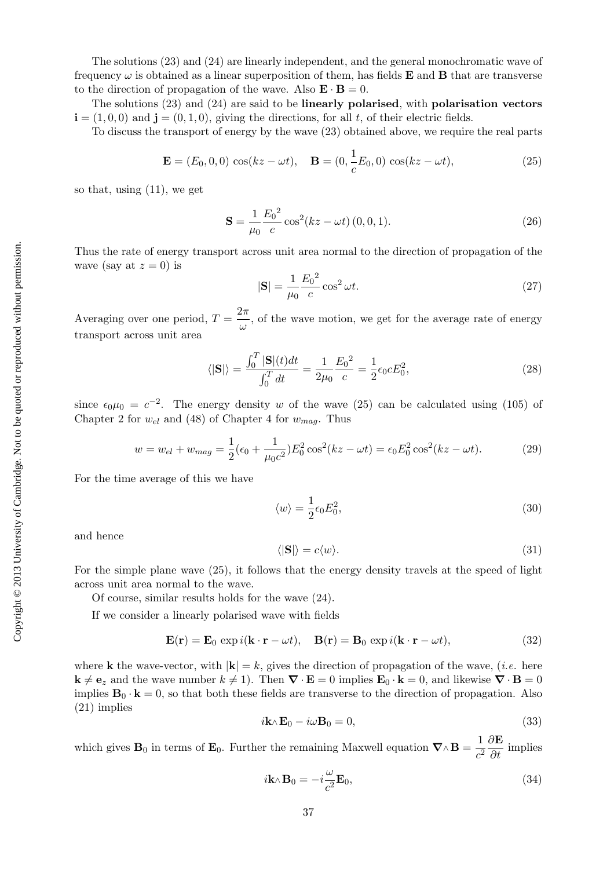The solutions (23) and (24) are linearly independent, and the general monochromatic wave of frequency  $\omega$  is obtained as a linear superposition of them, has fields **E** and **B** that are transverse to the direction of propagation of the wave. Also  $\mathbf{E} \cdot \mathbf{B} = 0$ .

The solutions (23) and (24) are said to be linearly polarised, with polarisation vectors  $\mathbf{i} = (1, 0, 0)$  and  $\mathbf{j} = (0, 1, 0)$ , giving the directions, for all t, of their electric fields.

To discuss the transport of energy by the wave (23) obtained above, we require the real parts

$$
\mathbf{E} = (E_0, 0, 0) \cos(kz - \omega t), \quad \mathbf{B} = (0, \frac{1}{c}E_0, 0) \cos(kz - \omega t), \tag{25}
$$

so that, using (11), we get

$$
\mathbf{S} = \frac{1}{\mu_0} \frac{E_0^2}{c} \cos^2(kz - \omega t) (0, 0, 1).
$$
 (26)

Thus the rate of energy transport across unit area normal to the direction of propagation of the wave (say at  $z = 0$ ) is

$$
|\mathbf{S}| = \frac{1}{\mu_0} \frac{E_0^2}{c} \cos^2 \omega t.
$$
 (27)

Averaging over one period,  $T = \frac{2\pi}{3}$  $\frac{\partial u}{\partial x}$ , of the wave motion, we get for the average rate of energy transport across unit area

$$
\langle |\mathbf{S}| \rangle = \frac{\int_0^T |\mathbf{S}|(t)dt}{\int_0^T dt} = \frac{1}{2\mu_0} \frac{E_0^2}{c} = \frac{1}{2} \epsilon_0 c E_0^2,\tag{28}
$$

since  $\epsilon_0\mu_0 = c^{-2}$ . The energy density w of the wave (25) can be calculated using (105) of Chapter 2 for  $w_{el}$  and (48) of Chapter 4 for  $w_{mag}$ . Thus

$$
w = w_{el} + w_{mag} = \frac{1}{2} (\epsilon_0 + \frac{1}{\mu_0 c^2}) E_0^2 \cos^2(kz - \omega t) = \epsilon_0 E_0^2 \cos^2(kz - \omega t). \tag{29}
$$

For the time average of this we have

$$
\langle w \rangle = \frac{1}{2} \epsilon_0 E_0^2,\tag{30}
$$

and hence

$$
\langle |\mathbf{S}| \rangle = c \langle w \rangle. \tag{31}
$$

For the simple plane wave (25), it follows that the energy density travels at the speed of light across unit area normal to the wave.

Of course, similar results holds for the wave (24).

If we consider a linearly polarised wave with fields

$$
\mathbf{E}(\mathbf{r}) = \mathbf{E}_0 \exp i(\mathbf{k} \cdot \mathbf{r} - \omega t), \quad \mathbf{B}(\mathbf{r}) = \mathbf{B}_0 \exp i(\mathbf{k} \cdot \mathbf{r} - \omega t), \tag{32}
$$

where **k** the wave-vector, with  $|\mathbf{k}| = k$ , gives the direction of propagation of the wave, *(i.e.* here  $\mathbf{k} \neq \mathbf{e}_z$  and the wave number  $k \neq 1$ . Then  $\nabla \cdot \mathbf{E} = 0$  implies  $\mathbf{E}_0 \cdot \mathbf{k} = 0$ , and likewise  $\nabla \cdot \mathbf{B} = 0$ implies  $\mathbf{B}_0 \cdot \mathbf{k} = 0$ , so that both these fields are transverse to the direction of propagation. Also (21) implies

$$
i\mathbf{k}\wedge\mathbf{E}_0 - i\omega\mathbf{B}_0 = 0,\tag{33}
$$

which gives  $\mathbf{B}_0$  in terms of  $\mathbf{E}_0$ . Further the remaining Maxwell equation  $\nabla \wedge \mathbf{B} = \frac{1}{\epsilon_0}$  $c^2$  $\frac{\partial \mathbf{E}}{\partial t}$  implies

$$
i\mathbf{k} \wedge \mathbf{B}_0 = -i\frac{\omega}{c^2} \mathbf{E}_0,\tag{34}
$$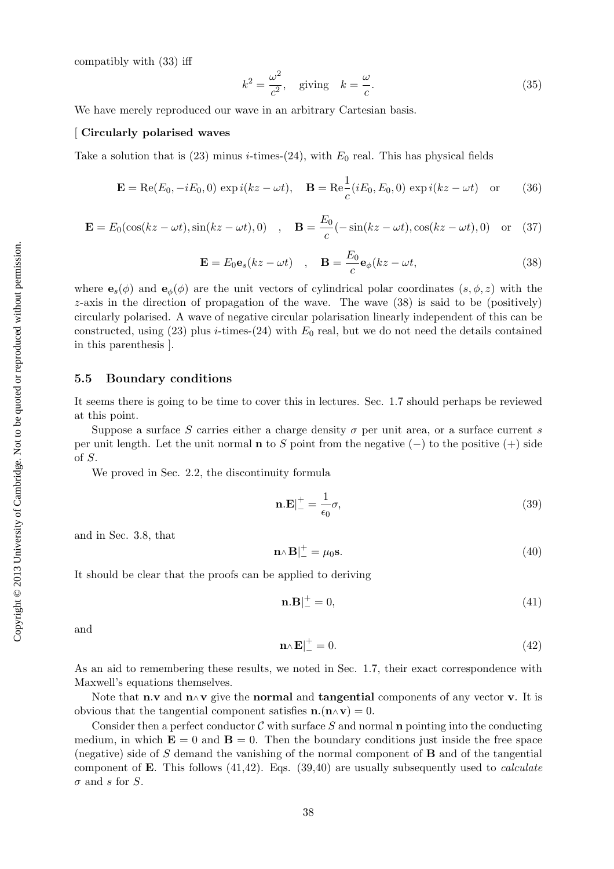compatibly with (33) iff

$$
k^2 = \frac{\omega^2}{c^2}, \quad \text{giving} \quad k = \frac{\omega}{c}.\tag{35}
$$

We have merely reproduced our wave in an arbitrary Cartesian basis.

#### [ Circularly polarised waves

Take a solution that is (23) minus *i*-times-(24), with  $E_0$  real. This has physical fields

$$
\mathbf{E} = \text{Re}(E_0, -iE_0, 0) \exp i(kz - \omega t), \quad \mathbf{B} = \text{Re}\frac{1}{c}(iE_0, E_0, 0) \exp i(kz - \omega t) \quad \text{or} \tag{36}
$$

$$
\mathbf{E} = E_0(\cos(kz - \omega t), \sin(kz - \omega t), 0) \quad , \quad \mathbf{B} = \frac{E_0}{c}(-\sin(kz - \omega t), \cos(kz - \omega t), 0) \quad \text{or} \quad (37)
$$

$$
\mathbf{E} = E_0 \mathbf{e}_s (kz - \omega t) \quad , \quad \mathbf{B} = \frac{E_0}{c} \mathbf{e}_{\phi} (kz - \omega t), \tag{38}
$$

where  $e_s(\phi)$  and  $e_{\phi}(\phi)$  are the unit vectors of cylindrical polar coordinates  $(s, \phi, z)$  with the  $z$ -axis in the direction of propagation of the wave. The wave  $(38)$  is said to be (positively) circularly polarised. A wave of negative circular polarisation linearly independent of this can be constructed, using (23) plus *i*-times-(24) with  $E_0$  real, but we do not need the details contained in this parenthesis ].

#### 5.5 Boundary conditions

It seems there is going to be time to cover this in lectures. Sec. 1.7 should perhaps be reviewed at this point.

Suppose a surface S carries either a charge density  $\sigma$  per unit area, or a surface current s per unit length. Let the unit normal  $\bf{n}$  to S point from the negative (–) to the positive (+) side of S.

We proved in Sec. 2.2, the discontinuity formula

$$
\mathbf{n}.\mathbf{E}|_{-}^{+} = \frac{1}{\epsilon_0} \sigma,\tag{39}
$$

and in Sec. 3.8, that

$$
\mathbf{n}_{\wedge}\mathbf{B}|_{-}^{+} = \mu_0 \mathbf{s}.\tag{40}
$$

It should be clear that the proofs can be applied to deriving

$$
\mathbf{n} \cdot \mathbf{B} \vert_{-}^{+} = 0,\tag{41}
$$

and

$$
\mathbf{n} \wedge \mathbf{E}|_{-}^{+} = 0. \tag{42}
$$

As an aid to remembering these results, we noted in Sec. 1.7, their exact correspondence with Maxwell's equations themselves.

Note that **n**.v and  $\mathbf{n} \wedge \mathbf{v}$  give the **normal** and **tangential** components of any vector v. It is obvious that the tangential component satisfies  $\mathbf{n}.(\mathbf{n} \wedge \mathbf{v}) = 0$ .

Consider then a perfect conductor  $\mathcal C$  with surface S and normal **n** pointing into the conducting medium, in which  $\mathbf{E} = 0$  and  $\mathbf{B} = 0$ . Then the boundary conditions just inside the free space (negative) side of S demand the vanishing of the normal component of B and of the tangential component of **E**. This follows  $(41,42)$ . Eqs.  $(39,40)$  are usually subsequently used to *calculate*  $\sigma$  and s for S.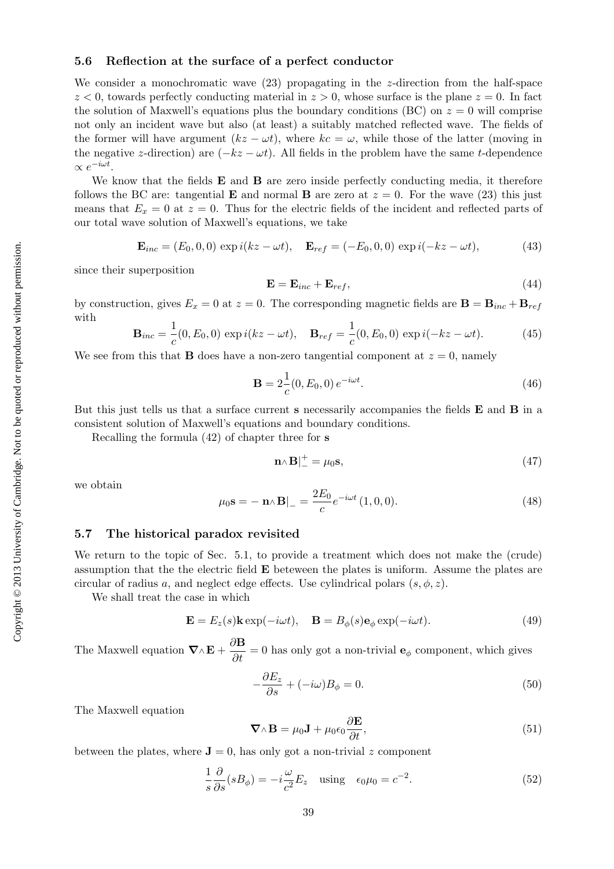#### 5.6 Reflection at the surface of a perfect conductor

We consider a monochromatic wave  $(23)$  propagating in the z-direction from the half-space  $z < 0$ , towards perfectly conducting material in  $z > 0$ , whose surface is the plane  $z = 0$ . In fact the solution of Maxwell's equations plus the boundary conditions (BC) on  $z = 0$  will comprise not only an incident wave but also (at least) a suitably matched reflected wave. The fields of the former will have argument  $(kz - \omega t)$ , where  $kc = \omega$ , while those of the latter (moving in the negative z-direction) are  $(-kz - \omega t)$ . All fields in the problem have the same t-dependence  $\propto e^{-i\omega t}$ .

We know that the fields  $E$  and  $B$  are zero inside perfectly conducting media, it therefore follows the BC are: tangential **E** and normal **B** are zero at  $z = 0$ . For the wave (23) this just means that  $E_x = 0$  at  $z = 0$ . Thus for the electric fields of the incident and reflected parts of our total wave solution of Maxwell's equations, we take

$$
\mathbf{E}_{inc} = (E_0, 0, 0) \exp i(kz - \omega t), \quad \mathbf{E}_{ref} = (-E_0, 0, 0) \exp i(-kz - \omega t), \tag{43}
$$

since their superposition

$$
\mathbf{E} = \mathbf{E}_{inc} + \mathbf{E}_{ref},\tag{44}
$$

by construction, gives  $E_x = 0$  at  $z = 0$ . The corresponding magnetic fields are  $\mathbf{B} = \mathbf{B}_{inc} + \mathbf{B}_{ref}$ with

$$
\mathbf{B}_{inc} = \frac{1}{c}(0, E_0, 0) \exp i(kz - \omega t), \quad \mathbf{B}_{ref} = \frac{1}{c}(0, E_0, 0) \exp i(-kz - \omega t).
$$
 (45)

We see from this that **B** does have a non-zero tangential component at  $z = 0$ , namely

$$
\mathbf{B} = 2\frac{1}{c}(0, E_0, 0) e^{-i\omega t}.
$$
 (46)

But this just tells us that a surface current s necessarily accompanies the fields **E** and **B** in a consistent solution of Maxwell's equations and boundary conditions.

Recalling the formula (42) of chapter three for s

$$
\mathbf{n} \wedge \mathbf{B} \vert_{-}^{+} = \mu_0 \mathbf{s},\tag{47}
$$

we obtain

$$
\mu_0 \mathbf{s} = -\mathbf{n} \wedge \mathbf{B} \Big|_{-} = \frac{2E_0}{c} e^{-i\omega t} (1, 0, 0). \tag{48}
$$

#### 5.7 The historical paradox revisited

We return to the topic of Sec. 5.1, to provide a treatment which does not make the (crude) assumption that the the electric field E beteween the plates is uniform. Assume the plates are circular of radius a, and neglect edge effects. Use cylindrical polars  $(s, \phi, z)$ .

We shall treat the case in which

$$
\mathbf{E} = E_z(s)\mathbf{k} \exp(-i\omega t), \quad \mathbf{B} = B_{\phi}(s)\mathbf{e}_{\phi} \exp(-i\omega t). \tag{49}
$$

The Maxwell equation  $\nabla \wedge \mathbf{E} + \frac{\partial \mathbf{B}}{\partial t} = 0$  has only got a non-trivial  $\mathbf{e}_{\phi}$  component, which gives

$$
-\frac{\partial E_z}{\partial s} + (-i\omega)B_\phi = 0.
$$
\n(50)

The Maxwell equation

$$
\nabla \wedge \mathbf{B} = \mu_0 \mathbf{J} + \mu_0 \epsilon_0 \frac{\partial \mathbf{E}}{\partial t},
$$
\n(51)

between the plates, where  $J = 0$ , has only got a non-trivial z component

$$
\frac{1}{s}\frac{\partial}{\partial s}(sB_{\phi}) = -i\frac{\omega}{c^2}E_z \quad \text{using} \quad \epsilon_0\mu_0 = c^{-2}.\tag{52}
$$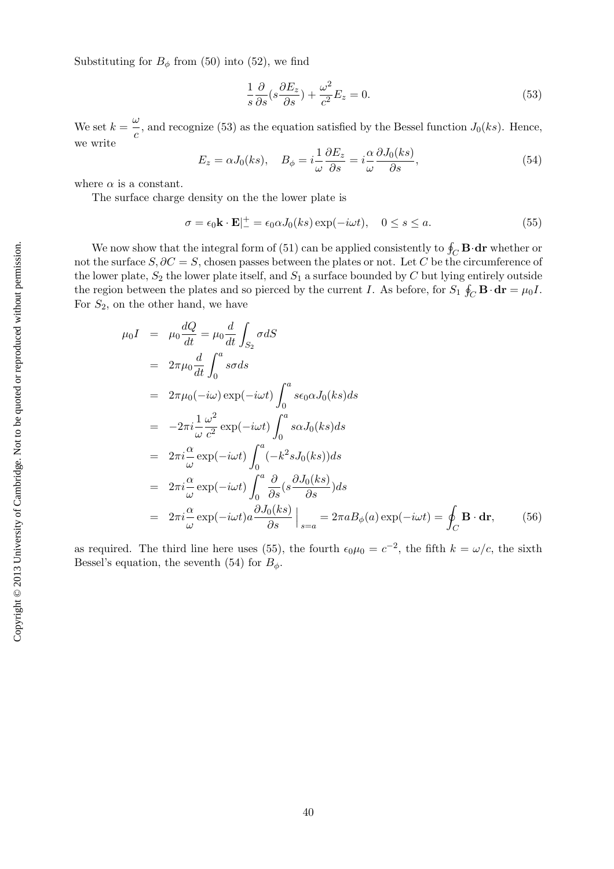Substituting for  $B_{\phi}$  from (50) into (52), we find

$$
\frac{1}{s}\frac{\partial}{\partial s}(s\frac{\partial E_z}{\partial s}) + \frac{\omega^2}{c^2}E_z = 0.
$$
\n(53)

We set  $k = \frac{\omega}{\sqrt{\frac{m}{k}}}$  $\frac{z}{c}$ , and recognize (53) as the equation satisfied by the Bessel function  $J_0(ks)$ . Hence, we write

$$
E_z = \alpha J_0(ks), \quad B_\phi = i \frac{1}{\omega} \frac{\partial E_z}{\partial s} = i \frac{\alpha}{\omega} \frac{\partial J_0(ks)}{\partial s}, \tag{54}
$$

where  $\alpha$  is a constant.

The surface charge density on the the lower plate is

$$
\sigma = \epsilon_0 \mathbf{k} \cdot \mathbf{E} \vert_{-}^{+} = \epsilon_0 \alpha J_0(ks) \exp(-i\omega t), \quad 0 \le s \le a. \tag{55}
$$

We now show that the integral form of (51) can be applied consistently to  $\oint_C \mathbf{B} \cdot \mathbf{dr}$  whether or not the surface  $S, \partial C = S$ , chosen passes between the plates or not. Let C be the circumference of the lower plate,  $S_2$  the lower plate itself, and  $S_1$  a surface bounded by C but lying entirely outside the region between the plates and so pierced by the current I. As before, for  $S_1 \oint_C \mathbf{B} \cdot \mathbf{dr} = \mu_0 I$ . For  $S_2$ , on the other hand, we have

$$
\mu_0 I = \mu_0 \frac{dQ}{dt} = \mu_0 \frac{d}{dt} \int_{S_2} \sigma dS
$$
  
\n
$$
= 2\pi \mu_0 \frac{d}{dt} \int_0^a s\sigma ds
$$
  
\n
$$
= 2\pi \mu_0 (-i\omega) \exp(-i\omega t) \int_0^a s\epsilon_0 \alpha J_0(ks) ds
$$
  
\n
$$
= -2\pi i \frac{1}{\omega} \frac{\omega^2}{c^2} \exp(-i\omega t) \int_0^a s\alpha J_0(ks) ds
$$
  
\n
$$
= 2\pi i \frac{\alpha}{\omega} \exp(-i\omega t) \int_0^a (-k^2 s J_0(ks)) ds
$$
  
\n
$$
= 2\pi i \frac{\alpha}{\omega} \exp(-i\omega t) \int_0^a \frac{\partial}{\partial s} (s \frac{\partial J_0(ks)}{\partial s}) ds
$$
  
\n
$$
= 2\pi i \frac{\alpha}{\omega} \exp(-i\omega t) \frac{\partial J_0(ks)}{\partial s} \Big|_{s=a} = 2\pi a B_{\phi}(a) \exp(-i\omega t) = \oint_C \mathbf{B} \cdot d\mathbf{r}, \qquad (56)
$$

as required. The third line here uses (55), the fourth  $\epsilon_0\mu_0 = c^{-2}$ , the fifth  $k = \omega/c$ , the sixth Bessel's equation, the seventh (54) for  $B_{\phi}$ .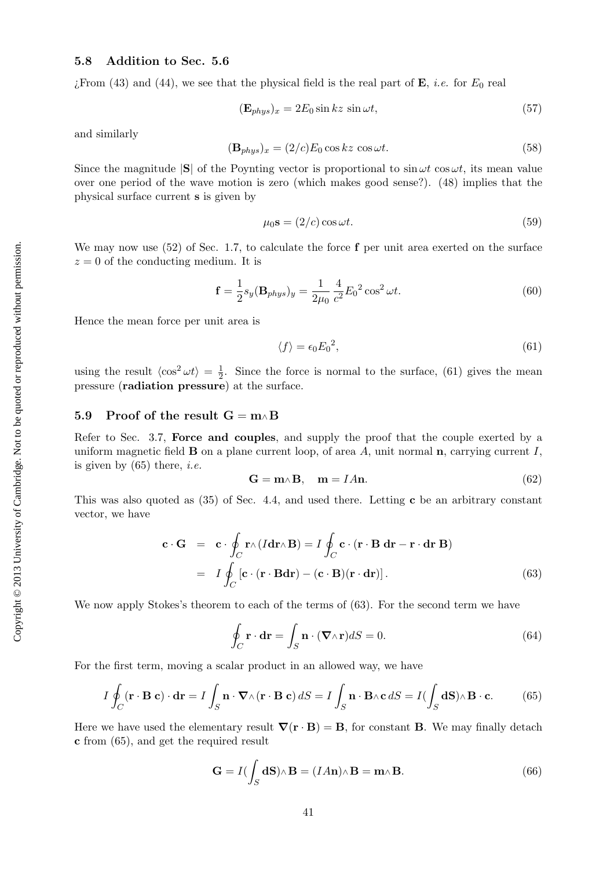# 5.8 Addition to Sec. 5.6

 $i$ From (43) and (44), we see that the physical field is the real part of **E**, *i.e.* for  $E_0$  real

$$
(\mathbf{E}_{phys})_x = 2E_0 \sin kz \sin \omega t, \qquad (57)
$$

and similarly

$$
(\mathbf{B}_{phys})_x = (2/c)E_0 \cos kz \cos \omega t.
$$
 (58)

Since the magnitude  $|S|$  of the Poynting vector is proportional to  $\sin \omega t$  cos $\omega t$ , its mean value over one period of the wave motion is zero (which makes good sense?). (48) implies that the physical surface current s is given by

$$
\mu_0 \mathbf{s} = (2/c) \cos \omega t. \tag{59}
$$

We may now use  $(52)$  of Sec. 1.7, to calculate the force f per unit area exerted on the surface  $z = 0$  of the conducting medium. It is

$$
\mathbf{f} = \frac{1}{2} s_y (\mathbf{B}_{phys})_y = \frac{1}{2\mu_0} \frac{4}{c^2} E_0^2 \cos^2 \omega t.
$$
 (60)

Hence the mean force per unit area is

$$
\langle f \rangle = \epsilon_0 E_0^2,\tag{61}
$$

using the result  $\langle \cos^2 \omega t \rangle = \frac{1}{2}$  $\frac{1}{2}$ . Since the force is normal to the surface, (61) gives the mean pressure (radiation pressure) at the surface.

### 5.9 Proof of the result  $G = m \wedge B$

Refer to Sec. 3.7, Force and couples, and supply the proof that the couple exerted by a uniform magnetic field  $\bf{B}$  on a plane current loop, of area A, unit normal  $\bf{n}$ , carrying current I, is given by  $(65)$  there, *i.e.* 

$$
\mathbf{G} = \mathbf{m} \wedge \mathbf{B}, \quad \mathbf{m} = I A \mathbf{n}.\tag{62}
$$

This was also quoted as  $(35)$  of Sec. 4.4, and used there. Letting c be an arbitrary constant vector, we have

$$
\mathbf{c} \cdot \mathbf{G} = \mathbf{c} \cdot \oint_C \mathbf{r} \wedge (I \mathbf{dr} \wedge \mathbf{B}) = I \oint_C \mathbf{c} \cdot (\mathbf{r} \cdot \mathbf{B} \, \mathbf{dr} - \mathbf{r} \cdot \mathbf{dr} \, \mathbf{B})
$$
  
=  $I \oint_C [\mathbf{c} \cdot (\mathbf{r} \cdot \mathbf{B} \mathbf{dr}) - (\mathbf{c} \cdot \mathbf{B})(\mathbf{r} \cdot \mathbf{dr})].$  (63)

We now apply Stokes's theorem to each of the terms of (63). For the second term we have

$$
\oint_C \mathbf{r} \cdot d\mathbf{r} = \int_S \mathbf{n} \cdot (\nabla \wedge \mathbf{r}) dS = 0.
$$
\n(64)

For the first term, moving a scalar product in an allowed way, we have

$$
I \oint_C (\mathbf{r} \cdot \mathbf{B} \mathbf{c}) \cdot d\mathbf{r} = I \int_S \mathbf{n} \cdot \nabla \wedge (\mathbf{r} \cdot \mathbf{B} \mathbf{c}) dS = I \int_S \mathbf{n} \cdot \mathbf{B} \wedge \mathbf{c} dS = I (\int_S d\mathbf{S}) \wedge \mathbf{B} \cdot \mathbf{c}.
$$
 (65)

Here we have used the elementary result  $\nabla(\mathbf{r} \cdot \mathbf{B}) = \mathbf{B}$ , for constant **B**. We may finally detach c from (65), and get the required result

$$
\mathbf{G} = I(\int_{S} \mathbf{dS}) \wedge \mathbf{B} = (I A \mathbf{n}) \wedge \mathbf{B} = \mathbf{m} \wedge \mathbf{B}.
$$
 (66)